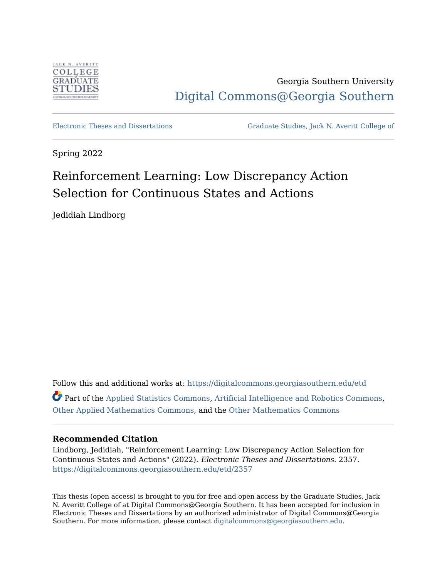

Georgia Southern University [Digital Commons@Georgia Southern](https://digitalcommons.georgiasouthern.edu/) 

[Electronic Theses and Dissertations](https://digitalcommons.georgiasouthern.edu/etd) [Graduate Studies, Jack N. Averitt College of](https://digitalcommons.georgiasouthern.edu/cogs) 

Spring 2022

# Reinforcement Learning: Low Discrepancy Action Selection for Continuous States and Actions

Jedidiah Lindborg

Follow this and additional works at: [https://digitalcommons.georgiasouthern.edu/etd](https://digitalcommons.georgiasouthern.edu/etd?utm_source=digitalcommons.georgiasouthern.edu%2Fetd%2F2357&utm_medium=PDF&utm_campaign=PDFCoverPages)  Part of the [Applied Statistics Commons,](http://network.bepress.com/hgg/discipline/209?utm_source=digitalcommons.georgiasouthern.edu%2Fetd%2F2357&utm_medium=PDF&utm_campaign=PDFCoverPages) [Artificial Intelligence and Robotics Commons,](http://network.bepress.com/hgg/discipline/143?utm_source=digitalcommons.georgiasouthern.edu%2Fetd%2F2357&utm_medium=PDF&utm_campaign=PDFCoverPages) [Other Applied Mathematics Commons,](http://network.bepress.com/hgg/discipline/122?utm_source=digitalcommons.georgiasouthern.edu%2Fetd%2F2357&utm_medium=PDF&utm_campaign=PDFCoverPages) and the [Other Mathematics Commons](http://network.bepress.com/hgg/discipline/185?utm_source=digitalcommons.georgiasouthern.edu%2Fetd%2F2357&utm_medium=PDF&utm_campaign=PDFCoverPages) 

## **Recommended Citation**

Lindborg, Jedidiah, "Reinforcement Learning: Low Discrepancy Action Selection for Continuous States and Actions" (2022). Electronic Theses and Dissertations. 2357. [https://digitalcommons.georgiasouthern.edu/etd/2357](https://digitalcommons.georgiasouthern.edu/etd/2357?utm_source=digitalcommons.georgiasouthern.edu%2Fetd%2F2357&utm_medium=PDF&utm_campaign=PDFCoverPages) 

This thesis (open access) is brought to you for free and open access by the Graduate Studies, Jack N. Averitt College of at Digital Commons@Georgia Southern. It has been accepted for inclusion in Electronic Theses and Dissertations by an authorized administrator of Digital Commons@Georgia Southern. For more information, please contact [digitalcommons@georgiasouthern.edu](mailto:digitalcommons@georgiasouthern.edu).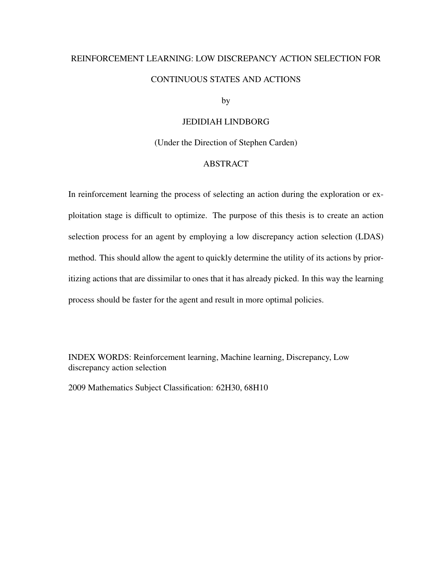# REINFORCEMENT LEARNING: LOW DISCREPANCY ACTION SELECTION FOR CONTINUOUS STATES AND ACTIONS

by

## JEDIDIAH LINDBORG

(Under the Direction of Stephen Carden)

## ABSTRACT

In reinforcement learning the process of selecting an action during the exploration or exploitation stage is difficult to optimize. The purpose of this thesis is to create an action selection process for an agent by employing a low discrepancy action selection (LDAS) method. This should allow the agent to quickly determine the utility of its actions by prioritizing actions that are dissimilar to ones that it has already picked. In this way the learning process should be faster for the agent and result in more optimal policies.

INDEX WORDS: Reinforcement learning, Machine learning, Discrepancy, Low discrepancy action selection

2009 Mathematics Subject Classification: 62H30, 68H10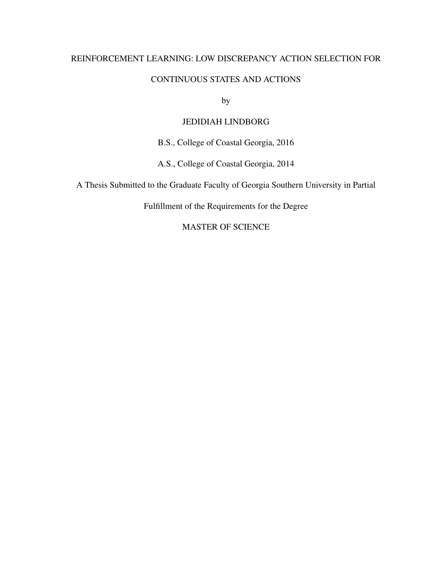## REINFORCEMENT LEARNING: LOW DISCREPANCY ACTION SELECTION FOR

## CONTINUOUS STATES AND ACTIONS

by

## JEDIDIAH LINDBORG

B.S., College of Coastal Georgia, 2016

A.S., College of Coastal Georgia, 2014

A Thesis Submitted to the Graduate Faculty of Georgia Southern University in Partial

Fulfillment of the Requirements for the Degree

MASTER OF SCIENCE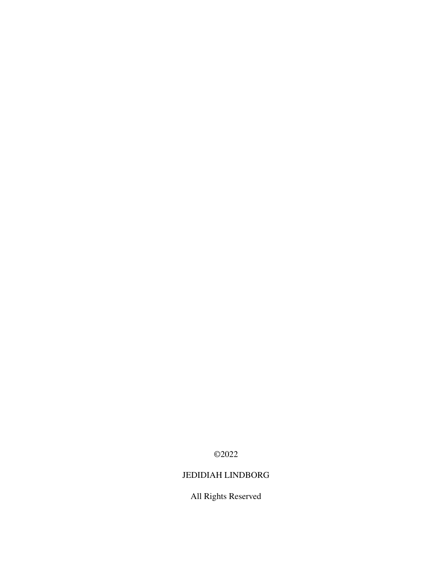©2022

## JEDIDIAH LINDBORG

All Rights Reserved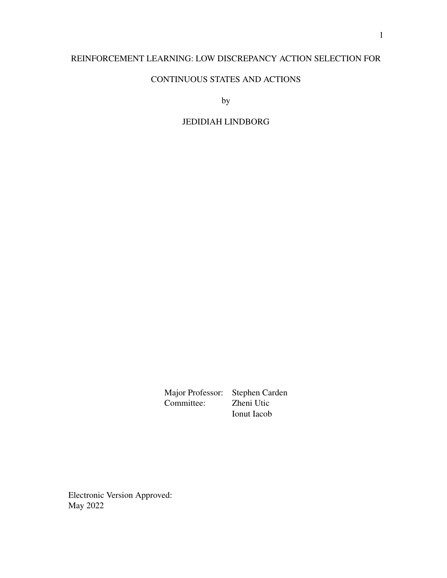## REINFORCEMENT LEARNING: LOW DISCREPANCY ACTION SELECTION FOR

## CONTINUOUS STATES AND ACTIONS

by

## JEDIDIAH LINDBORG

Major Professor: Stephen Carden<br>Committee: Zheni Utic Committee: Ionut Iacob

Electronic Version Approved: May 2022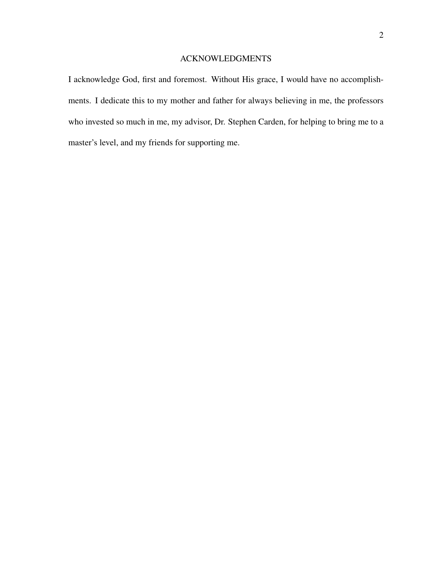## ACKNOWLEDGMENTS

I acknowledge God, first and foremost. Without His grace, I would have no accomplishments. I dedicate this to my mother and father for always believing in me, the professors who invested so much in me, my advisor, Dr. Stephen Carden, for helping to bring me to a master's level, and my friends for supporting me.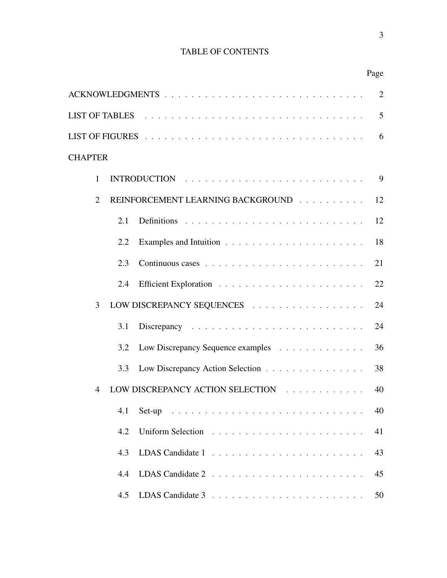## TABLE OF CONTENTS

| <b>TABLE OF CONTENTS</b>                                                                                                                                                                                                       |      |
|--------------------------------------------------------------------------------------------------------------------------------------------------------------------------------------------------------------------------------|------|
|                                                                                                                                                                                                                                | Page |
|                                                                                                                                                                                                                                |      |
| LIST OF TABLES FIGURE 2014 ISLAMING THE CONTROL CONTROL CONTROL CONTROL CONTROL CONTROL CONTROL CONTROL CONTROL CONTROL CONTROL CONTROL CONTROL CONTROL CONTROL CONTROL CONTROL CONTROL CONTROL CONTROL CONTROL CONTROL CONTRO |      |
|                                                                                                                                                                                                                                |      |

## **CHAPTER**

| $\mathbf{1}$   |     | <b>INTRODUCTION</b>               | 9  |  |  |
|----------------|-----|-----------------------------------|----|--|--|
| $\overline{2}$ |     | REINFORCEMENT LEARNING BACKGROUND |    |  |  |
|                | 2.1 |                                   | 12 |  |  |
|                | 2.2 |                                   | 18 |  |  |
|                | 2.3 |                                   | 21 |  |  |
|                | 2.4 |                                   | 22 |  |  |
| 3              |     | LOW DISCREPANCY SEQUENCES         | 24 |  |  |
|                | 3.1 |                                   | 24 |  |  |
|                | 3.2 | Low Discrepancy Sequence examples | 36 |  |  |
|                | 3.3 | Low Discrepancy Action Selection  | 38 |  |  |
| $\overline{4}$ |     | LOW DISCREPANCY ACTION SELECTION  | 40 |  |  |
|                | 4.1 |                                   | 40 |  |  |
|                | 4.2 |                                   | 41 |  |  |
|                | 4.3 |                                   | 43 |  |  |
|                | 4.4 | LDAS Candidate 2                  | 45 |  |  |
|                | 4.5 |                                   | 50 |  |  |
|                |     |                                   |    |  |  |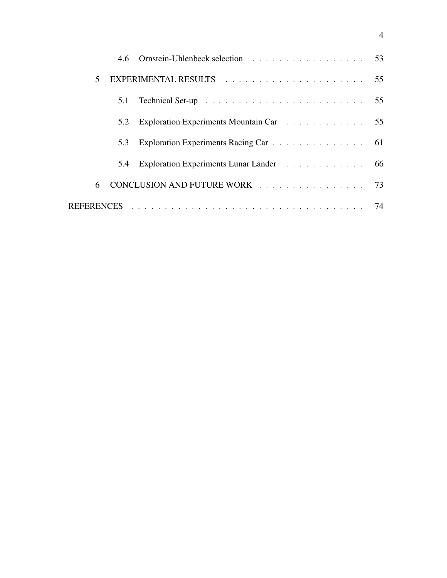| $\mathbf{5}$ |     |                                         |  |
|--------------|-----|-----------------------------------------|--|
|              | 5.1 |                                         |  |
|              | 5.2 | Exploration Experiments Mountain Car 55 |  |
|              | 5.3 | Exploration Experiments Racing Car 61   |  |
|              | 5.4 | Exploration Experiments Lunar Lander 66 |  |
| 6            |     | CONCLUSION AND FUTURE WORK 73           |  |
|              |     |                                         |  |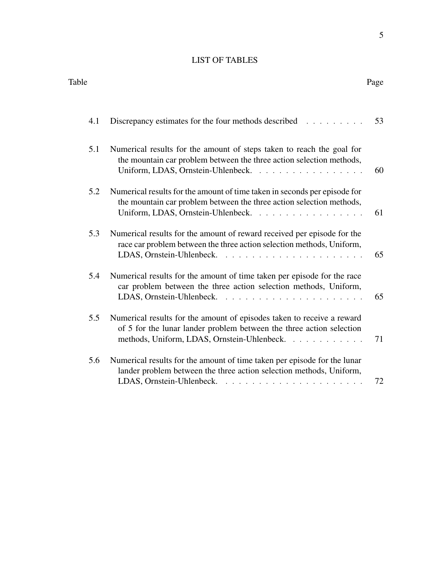## LIST OF TABLES

Table Page

| 4.1 | Discrepancy estimates for the four methods described                                                                                                                                          | 53 |
|-----|-----------------------------------------------------------------------------------------------------------------------------------------------------------------------------------------------|----|
| 5.1 | Numerical results for the amount of steps taken to reach the goal for<br>the mountain car problem between the three action selection methods,<br>Uniform, LDAS, Ornstein-Uhlenbeck.           | 60 |
| 5.2 | Numerical results for the amount of time taken in seconds per episode for<br>the mountain car problem between the three action selection methods,<br>Uniform, LDAS, Ornstein-Uhlenbeck.       | 61 |
| 5.3 | Numerical results for the amount of reward received per episode for the<br>race car problem between the three action selection methods, Uniform,                                              | 65 |
| 5.4 | Numerical results for the amount of time taken per episode for the race<br>car problem between the three action selection methods, Uniform,                                                   | 65 |
| 5.5 | Numerical results for the amount of episodes taken to receive a reward<br>of 5 for the lunar lander problem between the three action selection<br>methods, Uniform, LDAS, Ornstein-Uhlenbeck. | 71 |
| 5.6 | Numerical results for the amount of time taken per episode for the lunar<br>lander problem between the three action selection methods, Uniform,                                               | 72 |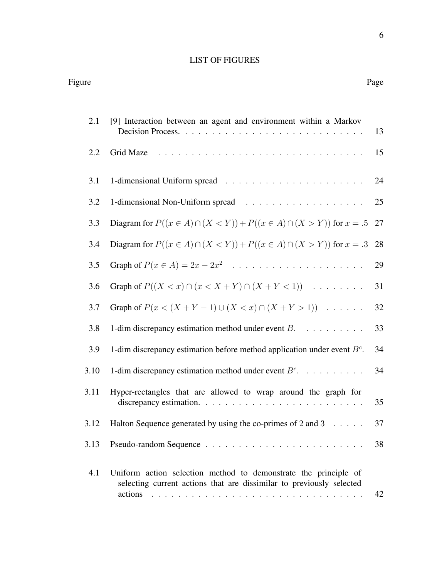## LIST OF FIGURES

| 2.1  | [9] Interaction between an agent and environment within a Markov                                                                                   | 13 |
|------|----------------------------------------------------------------------------------------------------------------------------------------------------|----|
| 2.2  | Grid Maze                                                                                                                                          | 15 |
| 3.1  |                                                                                                                                                    | 24 |
| 3.2  |                                                                                                                                                    | 25 |
| 3.3  | Diagram for $P((x \in A) \cap (X \le Y)) + P((x \in A) \cap (X \ge Y))$ for $x = .5$                                                               | 27 |
| 3.4  | Diagram for $P((x \in A) \cap (X \le Y)) + P((x \in A) \cap (X \ge Y))$ for $x = .3$                                                               | 28 |
| 3.5  |                                                                                                                                                    | 29 |
| 3.6  | Graph of $P((X < x) \cap (x < X + Y) \cap (X + Y < 1))$                                                                                            | 31 |
| 3.7  | Graph of $P(x < (X + Y - 1) \cup (X < x) \cap (X + Y > 1))$                                                                                        | 32 |
| 3.8  | 1-dim discrepancy estimation method under event $B$ .                                                                                              | 33 |
| 3.9  | 1-dim discrepancy estimation before method application under event $Bc$ .                                                                          | 34 |
| 3.10 | 1-dim discrepancy estimation method under event $B^c$ .                                                                                            | 34 |
| 3.11 | Hyper-rectangles that are allowed to wrap around the graph for                                                                                     | 35 |
| 3.12 | Halton Sequence generated by using the co-primes of 2 and 3 $\dots$ .                                                                              | 37 |
| 3.13 |                                                                                                                                                    | 38 |
| 4.1  | Uniform action selection method to demonstrate the principle of<br>selecting current actions that are dissimilar to previously selected<br>actions | 42 |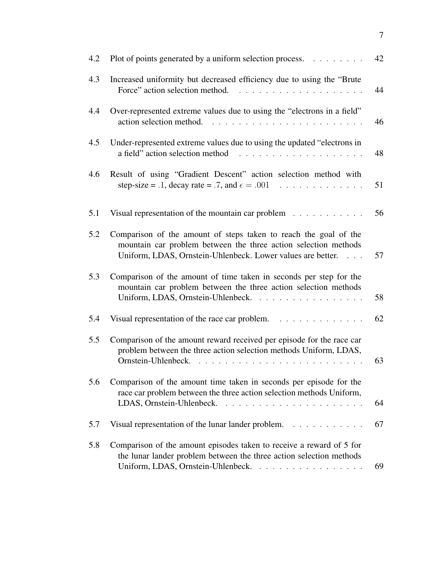| 42                                                                                                                         |
|----------------------------------------------------------------------------------------------------------------------------|
| 44                                                                                                                         |
| 46                                                                                                                         |
| 48                                                                                                                         |
| 51                                                                                                                         |
| 56                                                                                                                         |
| 57                                                                                                                         |
| 58                                                                                                                         |
| 62                                                                                                                         |
| 63                                                                                                                         |
| 64                                                                                                                         |
| 67                                                                                                                         |
| 69                                                                                                                         |
| Plot of points generated by a uniform selection process.<br><u>.</u><br>Visual representation of the lunar lander problem. |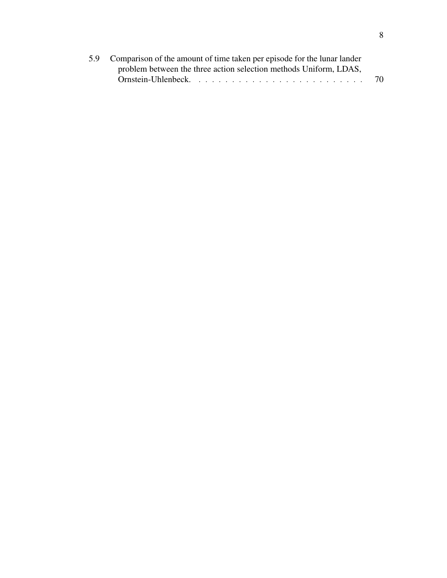| 5.9 Comparison of the amount of time taken per episode for the lunar lander |    |
|-----------------------------------------------------------------------------|----|
| problem between the three action selection methods Uniform, LDAS,           |    |
| Ornstein-Uhlenbeck                                                          | 70 |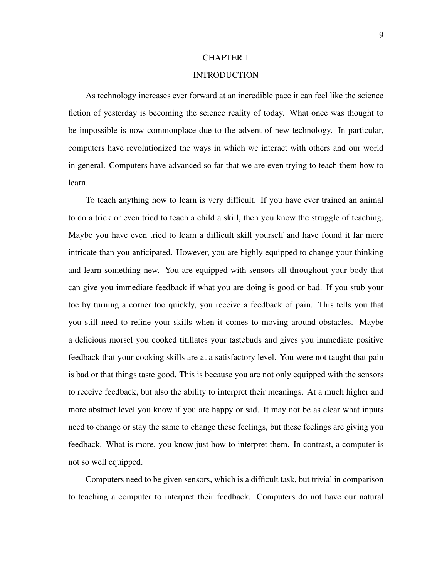#### CHAPTER 1

## INTRODUCTION

As technology increases ever forward at an incredible pace it can feel like the science fiction of yesterday is becoming the science reality of today. What once was thought to be impossible is now commonplace due to the advent of new technology. In particular, computers have revolutionized the ways in which we interact with others and our world in general. Computers have advanced so far that we are even trying to teach them how to learn.

To teach anything how to learn is very difficult. If you have ever trained an animal to do a trick or even tried to teach a child a skill, then you know the struggle of teaching. Maybe you have even tried to learn a difficult skill yourself and have found it far more intricate than you anticipated. However, you are highly equipped to change your thinking and learn something new. You are equipped with sensors all throughout your body that can give you immediate feedback if what you are doing is good or bad. If you stub your toe by turning a corner too quickly, you receive a feedback of pain. This tells you that you still need to refine your skills when it comes to moving around obstacles. Maybe a delicious morsel you cooked titillates your tastebuds and gives you immediate positive feedback that your cooking skills are at a satisfactory level. You were not taught that pain is bad or that things taste good. This is because you are not only equipped with the sensors to receive feedback, but also the ability to interpret their meanings. At a much higher and more abstract level you know if you are happy or sad. It may not be as clear what inputs need to change or stay the same to change these feelings, but these feelings are giving you feedback. What is more, you know just how to interpret them. In contrast, a computer is not so well equipped.

Computers need to be given sensors, which is a difficult task, but trivial in comparison to teaching a computer to interpret their feedback. Computers do not have our natural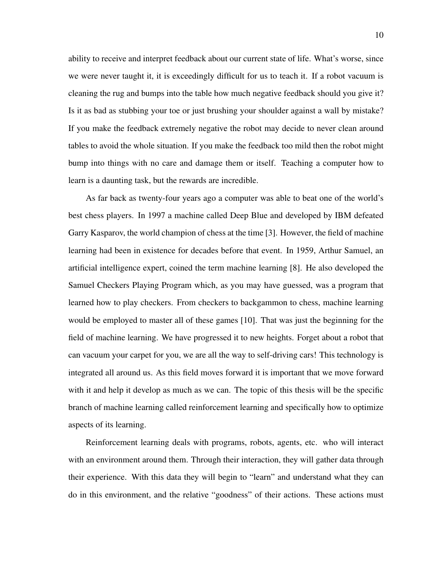ability to receive and interpret feedback about our current state of life. What's worse, since we were never taught it, it is exceedingly difficult for us to teach it. If a robot vacuum is cleaning the rug and bumps into the table how much negative feedback should you give it? Is it as bad as stubbing your toe or just brushing your shoulder against a wall by mistake? If you make the feedback extremely negative the robot may decide to never clean around tables to avoid the whole situation. If you make the feedback too mild then the robot might bump into things with no care and damage them or itself. Teaching a computer how to learn is a daunting task, but the rewards are incredible.

As far back as twenty-four years ago a computer was able to beat one of the world's best chess players. In 1997 a machine called Deep Blue and developed by IBM defeated Garry Kasparov, the world champion of chess at the time [3]. However, the field of machine learning had been in existence for decades before that event. In 1959, Arthur Samuel, an artificial intelligence expert, coined the term machine learning [8]. He also developed the Samuel Checkers Playing Program which, as you may have guessed, was a program that learned how to play checkers. From checkers to backgammon to chess, machine learning would be employed to master all of these games [10]. That was just the beginning for the field of machine learning. We have progressed it to new heights. Forget about a robot that can vacuum your carpet for you, we are all the way to self-driving cars! This technology is integrated all around us. As this field moves forward it is important that we move forward with it and help it develop as much as we can. The topic of this thesis will be the specific branch of machine learning called reinforcement learning and specifically how to optimize aspects of its learning.

Reinforcement learning deals with programs, robots, agents, etc. who will interact with an environment around them. Through their interaction, they will gather data through their experience. With this data they will begin to "learn" and understand what they can do in this environment, and the relative "goodness" of their actions. These actions must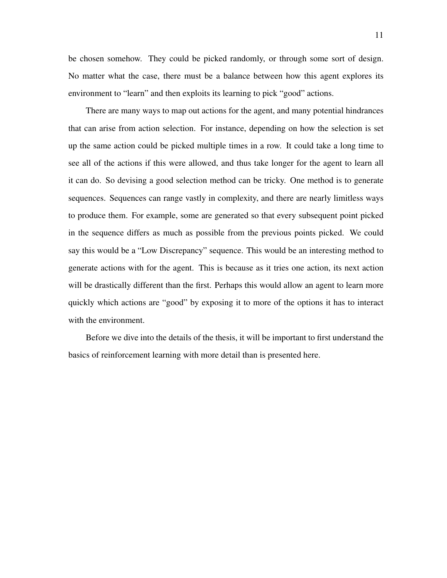be chosen somehow. They could be picked randomly, or through some sort of design. No matter what the case, there must be a balance between how this agent explores its environment to "learn" and then exploits its learning to pick "good" actions.

There are many ways to map out actions for the agent, and many potential hindrances that can arise from action selection. For instance, depending on how the selection is set up the same action could be picked multiple times in a row. It could take a long time to see all of the actions if this were allowed, and thus take longer for the agent to learn all it can do. So devising a good selection method can be tricky. One method is to generate sequences. Sequences can range vastly in complexity, and there are nearly limitless ways to produce them. For example, some are generated so that every subsequent point picked in the sequence differs as much as possible from the previous points picked. We could say this would be a "Low Discrepancy" sequence. This would be an interesting method to generate actions with for the agent. This is because as it tries one action, its next action will be drastically different than the first. Perhaps this would allow an agent to learn more quickly which actions are "good" by exposing it to more of the options it has to interact with the environment.

Before we dive into the details of the thesis, it will be important to first understand the basics of reinforcement learning with more detail than is presented here.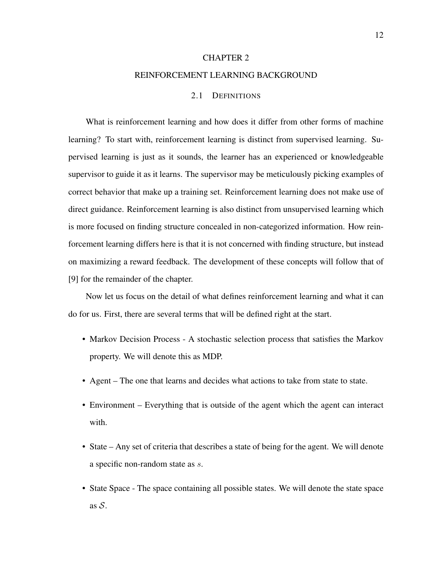#### CHAPTER 2

#### REINFORCEMENT LEARNING BACKGROUND

## 2.1 DEFINITIONS

What is reinforcement learning and how does it differ from other forms of machine learning? To start with, reinforcement learning is distinct from supervised learning. Supervised learning is just as it sounds, the learner has an experienced or knowledgeable supervisor to guide it as it learns. The supervisor may be meticulously picking examples of correct behavior that make up a training set. Reinforcement learning does not make use of direct guidance. Reinforcement learning is also distinct from unsupervised learning which is more focused on finding structure concealed in non-categorized information. How reinforcement learning differs here is that it is not concerned with finding structure, but instead on maximizing a reward feedback. The development of these concepts will follow that of [9] for the remainder of the chapter.

Now let us focus on the detail of what defines reinforcement learning and what it can do for us. First, there are several terms that will be defined right at the start.

- Markov Decision Process A stochastic selection process that satisfies the Markov property. We will denote this as MDP.
- Agent The one that learns and decides what actions to take from state to state.
- Environment Everything that is outside of the agent which the agent can interact with.
- State Any set of criteria that describes a state of being for the agent. We will denote a specific non-random state as s.
- State Space The space containing all possible states. We will denote the state space as  $S$ .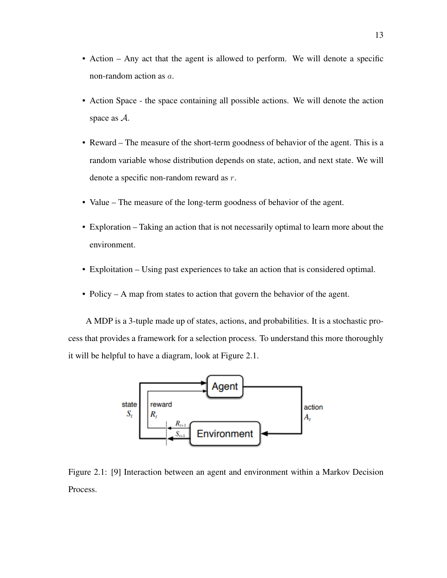- Action Any act that the agent is allowed to perform. We will denote a specific non-random action as a.
- Action Space the space containing all possible actions. We will denote the action space as A.
- Reward The measure of the short-term goodness of behavior of the agent. This is a random variable whose distribution depends on state, action, and next state. We will denote a specific non-random reward as r.
- Value The measure of the long-term goodness of behavior of the agent.
- Exploration Taking an action that is not necessarily optimal to learn more about the environment.
- Exploitation Using past experiences to take an action that is considered optimal.
- Policy A map from states to action that govern the behavior of the agent.

A MDP is a 3-tuple made up of states, actions, and probabilities. It is a stochastic process that provides a framework for a selection process. To understand this more thoroughly it will be helpful to have a diagram, look at Figure 2.1.



Figure 2.1: [9] Interaction between an agent and environment within a Markov Decision Process.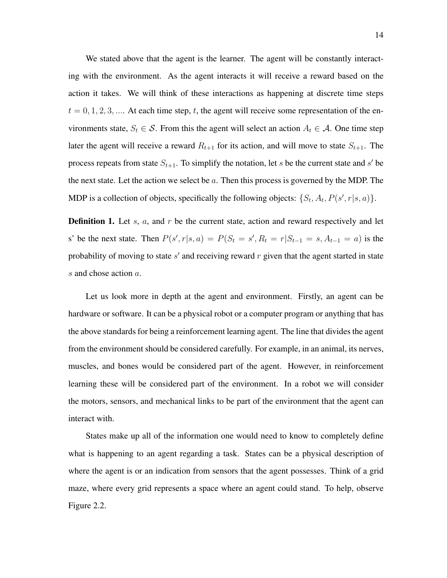We stated above that the agent is the learner. The agent will be constantly interacting with the environment. As the agent interacts it will receive a reward based on the action it takes. We will think of these interactions as happening at discrete time steps  $t = 0, 1, 2, 3, \dots$  At each time step, t, the agent will receive some representation of the environments state,  $S_t \in \mathcal{S}$ . From this the agent will select an action  $A_t \in \mathcal{A}$ . One time step later the agent will receive a reward  $R_{t+1}$  for its action, and will move to state  $S_{t+1}$ . The process repeats from state  $S_{t+1}$ . To simplify the notation, let s be the current state and s' be the next state. Let the action we select be  $a$ . Then this process is governed by the MDP. The MDP is a collection of objects, specifically the following objects:  $\{S_t, A_t, P(s', r | s, a)\}.$ 

**Definition 1.** Let  $s$ ,  $a$ , and  $r$  be the current state, action and reward respectively and let s' be the next state. Then  $P(s', r | s, a) = P(S_t = s', R_t = r | S_{t-1} = s, A_{t-1} = a)$  is the probability of moving to state  $s'$  and receiving reward  $r$  given that the agent started in state s and chose action a.

Let us look more in depth at the agent and environment. Firstly, an agent can be hardware or software. It can be a physical robot or a computer program or anything that has the above standards for being a reinforcement learning agent. The line that divides the agent from the environment should be considered carefully. For example, in an animal, its nerves, muscles, and bones would be considered part of the agent. However, in reinforcement learning these will be considered part of the environment. In a robot we will consider the motors, sensors, and mechanical links to be part of the environment that the agent can interact with.

States make up all of the information one would need to know to completely define what is happening to an agent regarding a task. States can be a physical description of where the agent is or an indication from sensors that the agent possesses. Think of a grid maze, where every grid represents a space where an agent could stand. To help, observe Figure 2.2.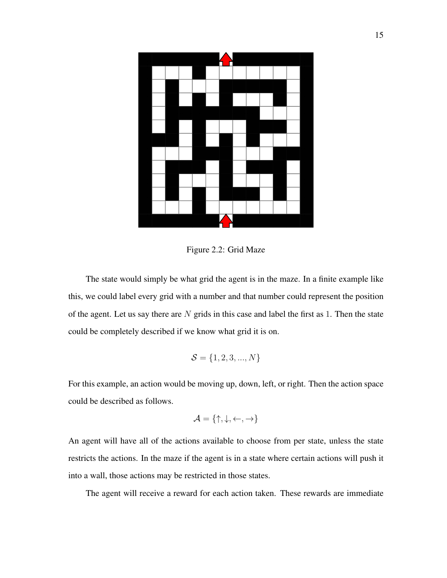

Figure 2.2: Grid Maze

The state would simply be what grid the agent is in the maze. In a finite example like this, we could label every grid with a number and that number could represent the position of the agent. Let us say there are  $N$  grids in this case and label the first as 1. Then the state could be completely described if we know what grid it is on.

$$
\mathcal{S} = \{1, 2, 3, ..., N\}
$$

For this example, an action would be moving up, down, left, or right. Then the action space could be described as follows.

$$
\mathcal{A} = \{\uparrow, \downarrow, \leftarrow, \rightarrow\}
$$

An agent will have all of the actions available to choose from per state, unless the state restricts the actions. In the maze if the agent is in a state where certain actions will push it into a wall, those actions may be restricted in those states.

The agent will receive a reward for each action taken. These rewards are immediate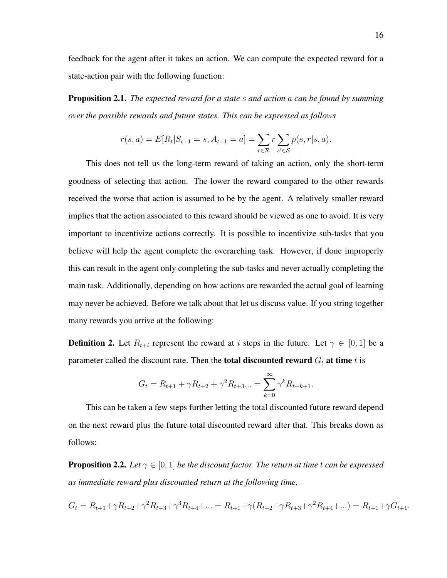feedback for the agent after it takes an action. We can compute the expected reward for a state-action pair with the following function:

Proposition 2.1. *The expected reward for a state* s *and action* a *can be found by summing over the possible rewards and future states. This can be expressed as follows*

$$
r(s, a) = E[R_t | S_{t-1} = s, A_{t-1} = a] = \sum_{r \in \mathcal{R}} r \sum_{s' \in \mathcal{S}} p(s, r | s, a).
$$

This does not tell us the long-term reward of taking an action, only the short-term goodness of selecting that action. The lower the reward compared to the other rewards received the worse that action is assumed to be by the agent. A relatively smaller reward implies that the action associated to this reward should be viewed as one to avoid. It is very important to incentivize actions correctly. It is possible to incentivize sub-tasks that you believe will help the agent complete the overarching task. However, if done improperly this can result in the agent only completing the sub-tasks and never actually completing the main task. Additionally, depending on how actions are rewarded the actual goal of learning may never be achieved. Before we talk about that let us discuss value. If you string together many rewards you arrive at the following:

**Definition 2.** Let  $R_{t+i}$  represent the reward at i steps in the future. Let  $\gamma \in [0,1]$  be a parameter called the discount rate. Then the **total discounted reward**  $G_t$  at time t is

$$
G_t = R_{t+1} + \gamma R_{t+2} + \gamma^2 R_{t+3} ... = \sum_{k=0}^{\infty} \gamma^k R_{t+k+1}.
$$

This can be taken a few steps further letting the total discounted future reward depend on the next reward plus the future total discounted reward after that. This breaks down as follows:

**Proposition 2.2.** *Let*  $\gamma \in [0, 1]$  *be the discount factor. The return at time t can be expressed as immediate reward plus discounted return at the following time,*

$$
G_t = R_{t+1} + \gamma R_{t+2} + \gamma^2 R_{t+3} + \gamma^3 R_{t+4} + \dots = R_{t+1} + \gamma (R_{t+2} + \gamma R_{t+3} + \gamma^2 R_{t+4} + \dots) = R_{t+1} + \gamma G_{t+1}.
$$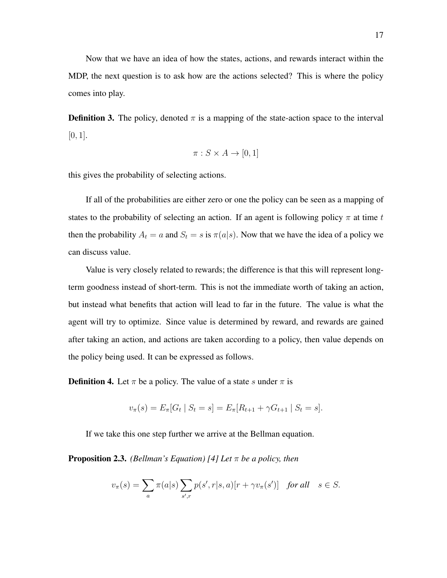Now that we have an idea of how the states, actions, and rewards interact within the MDP, the next question is to ask how are the actions selected? This is where the policy comes into play.

**Definition 3.** The policy, denoted  $\pi$  is a mapping of the state-action space to the interval  $[0, 1]$ .

$$
\pi: S \times A \to [0, 1]
$$

this gives the probability of selecting actions.

If all of the probabilities are either zero or one the policy can be seen as a mapping of states to the probability of selecting an action. If an agent is following policy  $\pi$  at time t then the probability  $A_t = a$  and  $S_t = s$  is  $\pi(a|s)$ . Now that we have the idea of a policy we can discuss value.

Value is very closely related to rewards; the difference is that this will represent longterm goodness instead of short-term. This is not the immediate worth of taking an action, but instead what benefits that action will lead to far in the future. The value is what the agent will try to optimize. Since value is determined by reward, and rewards are gained after taking an action, and actions are taken according to a policy, then value depends on the policy being used. It can be expressed as follows.

**Definition 4.** Let  $\pi$  be a policy. The value of a state s under  $\pi$  is

$$
v_{\pi}(s) = E_{\pi}[G_t | S_t = s] = E_{\pi}[R_{t+1} + \gamma G_{t+1} | S_t = s].
$$

If we take this one step further we arrive at the Bellman equation.

Proposition 2.3. *(Bellman's Equation) [4] Let* π *be a policy, then*

$$
v_{\pi}(s) = \sum_{a} \pi(a|s) \sum_{s',r} p(s',r|s,a)[r + \gamma v_{\pi}(s')] \text{ for all } s \in S.
$$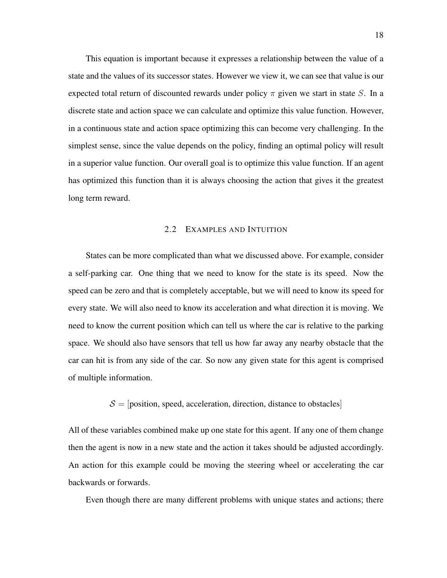This equation is important because it expresses a relationship between the value of a state and the values of its successor states. However we view it, we can see that value is our expected total return of discounted rewards under policy  $\pi$  given we start in state S. In a discrete state and action space we can calculate and optimize this value function. However, in a continuous state and action space optimizing this can become very challenging. In the simplest sense, since the value depends on the policy, finding an optimal policy will result in a superior value function. Our overall goal is to optimize this value function. If an agent has optimized this function than it is always choosing the action that gives it the greatest long term reward.

## 2.2 EXAMPLES AND INTUITION

States can be more complicated than what we discussed above. For example, consider a self-parking car. One thing that we need to know for the state is its speed. Now the speed can be zero and that is completely acceptable, but we will need to know its speed for every state. We will also need to know its acceleration and what direction it is moving. We need to know the current position which can tell us where the car is relative to the parking space. We should also have sensors that tell us how far away any nearby obstacle that the car can hit is from any side of the car. So now any given state for this agent is comprised of multiple information.

#### $S =$  [position, speed, acceleration, direction, distance to obstacles]

All of these variables combined make up one state for this agent. If any one of them change then the agent is now in a new state and the action it takes should be adjusted accordingly. An action for this example could be moving the steering wheel or accelerating the car backwards or forwards.

Even though there are many different problems with unique states and actions; there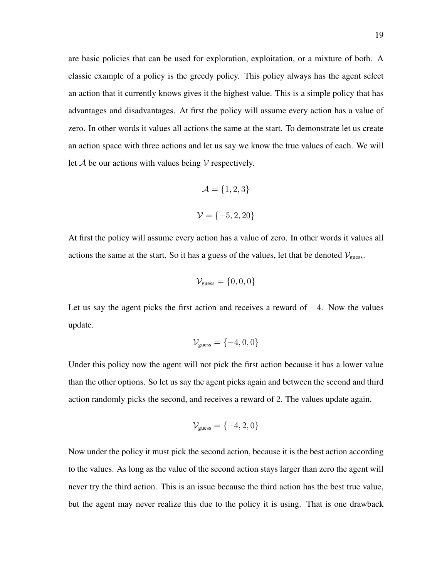are basic policies that can be used for exploration, exploitation, or a mixture of both. A classic example of a policy is the greedy policy. This policy always has the agent select an action that it currently knows gives it the highest value. This is a simple policy that has advantages and disadvantages. At first the policy will assume every action has a value of zero. In other words it values all actions the same at the start. To demonstrate let us create an action space with three actions and let us say we know the true values of each. We will let  $A$  be our actions with values being  $V$  respectively.

$$
\mathcal{A} = \{1, 2, 3\}
$$

$$
\mathcal{V} = \{-5, 2, 20\}
$$

At first the policy will assume every action has a value of zero. In other words it values all actions the same at the start. So it has a guess of the values, let that be denoted  $V_{\text{guess}}$ .

$$
\mathcal{V}_{\text{guess}} = \{0, 0, 0\}
$$

Let us say the agent picks the first action and receives a reward of  $-4$ . Now the values update.

$$
\mathcal{V}_{\text{guess}} = \{-4, 0, 0\}
$$

Under this policy now the agent will not pick the first action because it has a lower value than the other options. So let us say the agent picks again and between the second and third action randomly picks the second, and receives a reward of 2. The values update again.

$$
\mathcal{V}_{\text{guess}} = \{-4, 2, 0\}
$$

Now under the policy it must pick the second action, because it is the best action according to the values. As long as the value of the second action stays larger than zero the agent will never try the third action. This is an issue because the third action has the best true value, but the agent may never realize this due to the policy it is using. That is one drawback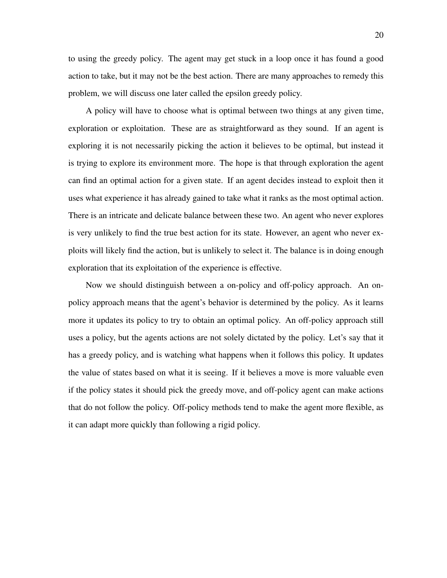to using the greedy policy. The agent may get stuck in a loop once it has found a good action to take, but it may not be the best action. There are many approaches to remedy this problem, we will discuss one later called the epsilon greedy policy.

A policy will have to choose what is optimal between two things at any given time, exploration or exploitation. These are as straightforward as they sound. If an agent is exploring it is not necessarily picking the action it believes to be optimal, but instead it is trying to explore its environment more. The hope is that through exploration the agent can find an optimal action for a given state. If an agent decides instead to exploit then it uses what experience it has already gained to take what it ranks as the most optimal action. There is an intricate and delicate balance between these two. An agent who never explores is very unlikely to find the true best action for its state. However, an agent who never exploits will likely find the action, but is unlikely to select it. The balance is in doing enough exploration that its exploitation of the experience is effective.

Now we should distinguish between a on-policy and off-policy approach. An onpolicy approach means that the agent's behavior is determined by the policy. As it learns more it updates its policy to try to obtain an optimal policy. An off-policy approach still uses a policy, but the agents actions are not solely dictated by the policy. Let's say that it has a greedy policy, and is watching what happens when it follows this policy. It updates the value of states based on what it is seeing. If it believes a move is more valuable even if the policy states it should pick the greedy move, and off-policy agent can make actions that do not follow the policy. Off-policy methods tend to make the agent more flexible, as it can adapt more quickly than following a rigid policy.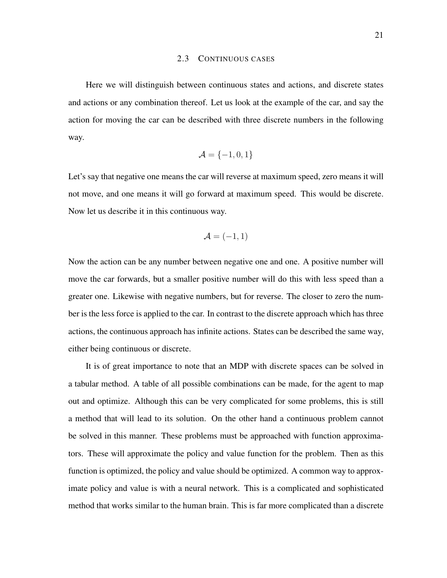#### 2.3 CONTINUOUS CASES

Here we will distinguish between continuous states and actions, and discrete states and actions or any combination thereof. Let us look at the example of the car, and say the action for moving the car can be described with three discrete numbers in the following way.

$$
\mathcal{A} = \{-1, 0, 1\}
$$

Let's say that negative one means the car will reverse at maximum speed, zero means it will not move, and one means it will go forward at maximum speed. This would be discrete. Now let us describe it in this continuous way.

$$
\mathcal{A} = (-1, 1)
$$

Now the action can be any number between negative one and one. A positive number will move the car forwards, but a smaller positive number will do this with less speed than a greater one. Likewise with negative numbers, but for reverse. The closer to zero the number is the less force is applied to the car. In contrast to the discrete approach which has three actions, the continuous approach has infinite actions. States can be described the same way, either being continuous or discrete.

It is of great importance to note that an MDP with discrete spaces can be solved in a tabular method. A table of all possible combinations can be made, for the agent to map out and optimize. Although this can be very complicated for some problems, this is still a method that will lead to its solution. On the other hand a continuous problem cannot be solved in this manner. These problems must be approached with function approximators. These will approximate the policy and value function for the problem. Then as this function is optimized, the policy and value should be optimized. A common way to approximate policy and value is with a neural network. This is a complicated and sophisticated method that works similar to the human brain. This is far more complicated than a discrete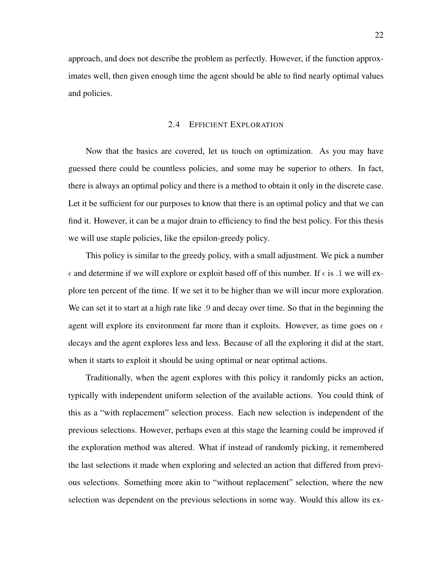approach, and does not describe the problem as perfectly. However, if the function approximates well, then given enough time the agent should be able to find nearly optimal values and policies.

## 2.4 EFFICIENT EXPLORATION

Now that the basics are covered, let us touch on optimization. As you may have guessed there could be countless policies, and some may be superior to others. In fact, there is always an optimal policy and there is a method to obtain it only in the discrete case. Let it be sufficient for our purposes to know that there is an optimal policy and that we can find it. However, it can be a major drain to efficiency to find the best policy. For this thesis we will use staple policies, like the epsilon-greedy policy.

This policy is similar to the greedy policy, with a small adjustment. We pick a number  $\epsilon$  and determine if we will explore or exploit based off of this number. If  $\epsilon$  is .1 we will explore ten percent of the time. If we set it to be higher than we will incur more exploration. We can set it to start at a high rate like .9 and decay over time. So that in the beginning the agent will explore its environment far more than it exploits. However, as time goes on  $\epsilon$ decays and the agent explores less and less. Because of all the exploring it did at the start, when it starts to exploit it should be using optimal or near optimal actions.

Traditionally, when the agent explores with this policy it randomly picks an action, typically with independent uniform selection of the available actions. You could think of this as a "with replacement" selection process. Each new selection is independent of the previous selections. However, perhaps even at this stage the learning could be improved if the exploration method was altered. What if instead of randomly picking, it remembered the last selections it made when exploring and selected an action that differed from previous selections. Something more akin to "without replacement" selection, where the new selection was dependent on the previous selections in some way. Would this allow its ex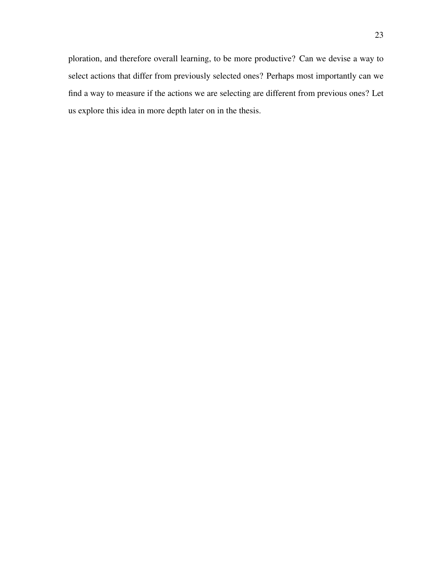ploration, and therefore overall learning, to be more productive? Can we devise a way to select actions that differ from previously selected ones? Perhaps most importantly can we find a way to measure if the actions we are selecting are different from previous ones? Let us explore this idea in more depth later on in the thesis.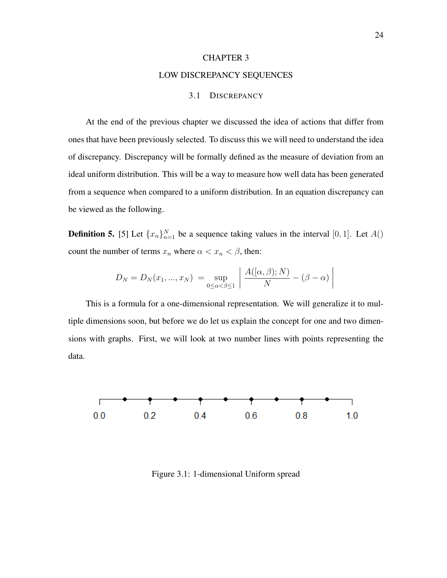## CHAPTER 3 LOW DISCREPANCY SEQUENCES

#### 3.1 DISCREPANCY

At the end of the previous chapter we discussed the idea of actions that differ from ones that have been previously selected. To discuss this we will need to understand the idea of discrepancy. Discrepancy will be formally defined as the measure of deviation from an ideal uniform distribution. This will be a way to measure how well data has been generated from a sequence when compared to a uniform distribution. In an equation discrepancy can be viewed as the following.

**Definition 5.** [5] Let  $\{x_n\}_{n=1}^N$  be a sequence taking values in the interval [0, 1]. Let  $A()$ count the number of terms  $x_n$  where  $\alpha < x_n < \beta$ , then:

$$
D_N = D_N(x_1, ..., x_N) = \sup_{0 \le \alpha < \beta \le 1} \left| \frac{A((\alpha, \beta); N)}{N} - (\beta - \alpha) \right|
$$

This is a formula for a one-dimensional representation. We will generalize it to multiple dimensions soon, but before we do let us explain the concept for one and two dimensions with graphs. First, we will look at two number lines with points representing the data.



Figure 3.1: 1-dimensional Uniform spread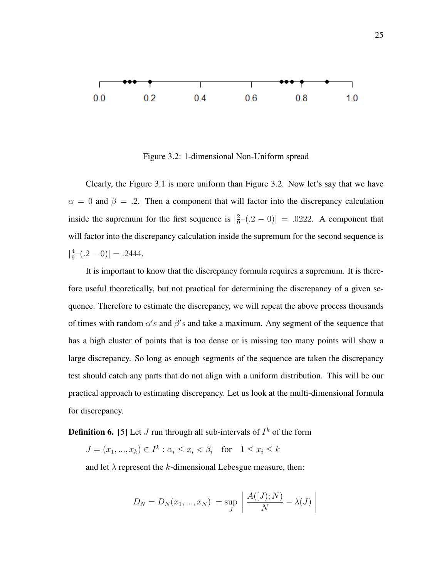

Figure 3.2: 1-dimensional Non-Uniform spread

Clearly, the Figure 3.1 is more uniform than Figure 3.2. Now let's say that we have  $\alpha = 0$  and  $\beta = .2$ . Then a component that will factor into the discrepancy calculation inside the supremum for the first sequence is  $\frac{2}{9}$  $\frac{2}{9}$ - $(.2 - 0)$ | = .0222. A component that will factor into the discrepancy calculation inside the supremum for the second sequence is  $\frac{4}{9}$  $\frac{4}{9}$  – (.2 – 0)| = .2444.

It is important to know that the discrepancy formula requires a supremum. It is therefore useful theoretically, but not practical for determining the discrepancy of a given sequence. Therefore to estimate the discrepancy, we will repeat the above process thousands of times with random  $\alpha's$  and  $\beta's$  and take a maximum. Any segment of the sequence that has a high cluster of points that is too dense or is missing too many points will show a large discrepancy. So long as enough segments of the sequence are taken the discrepancy test should catch any parts that do not align with a uniform distribution. This will be our practical approach to estimating discrepancy. Let us look at the multi-dimensional formula for discrepancy.

**Definition 6.** [5] Let *J* run through all sub-intervals of  $I^k$  of the form

 $J = (x_1, ..., x_k) \in I^k : \alpha_i \le x_i < \beta_i \text{ for } 1 \le x_i \le k$ 

and let  $\lambda$  represent the k-dimensional Lebesgue measure, then:

$$
D_N = D_N(x_1, ..., x_N) = \sup_J \left| \frac{A([J); N)}{N} - \lambda(J) \right|
$$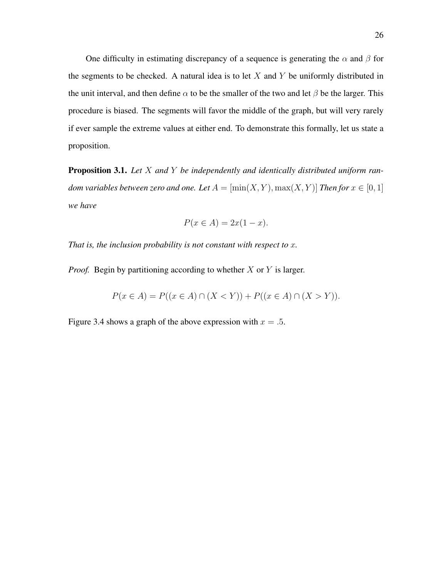One difficulty in estimating discrepancy of a sequence is generating the  $\alpha$  and  $\beta$  for the segments to be checked. A natural idea is to let  $X$  and  $Y$  be uniformly distributed in the unit interval, and then define  $\alpha$  to be the smaller of the two and let  $\beta$  be the larger. This procedure is biased. The segments will favor the middle of the graph, but will very rarely if ever sample the extreme values at either end. To demonstrate this formally, let us state a proposition.

Proposition 3.1. *Let* X *and* Y *be independently and identically distributed uniform random variables between zero and one. Let*  $A = [\min(X, Y), \max(X, Y)]$  *Then for*  $x \in [0, 1]$ *we have*

$$
P(x \in A) = 2x(1 - x).
$$

*That is, the inclusion probability is not constant with respect to* x*.*

*Proof.* Begin by partitioning according to whether X or Y is larger.

$$
P(x \in A) = P((x \in A) \cap (X < Y)) + P((x \in A) \cap (X > Y)).
$$

Figure 3.4 shows a graph of the above expression with  $x = .5$ .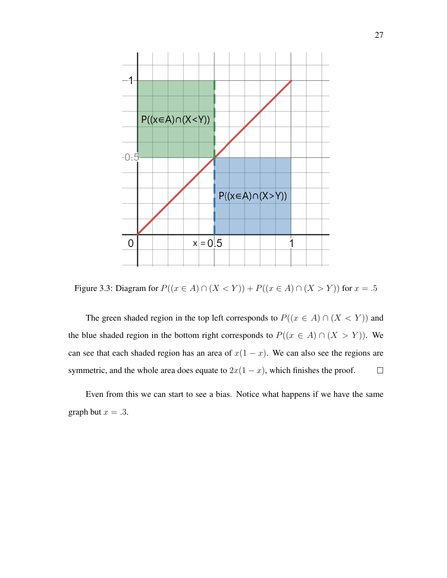

Figure 3.3: Diagram for  $P((x \in A) ∩ (X < Y)) + P((x \in A) ∩ (X > Y))$  for  $x = .5$ 

The green shaded region in the top left corresponds to  $P((x \in A) \cap (X \le Y))$  and the blue shaded region in the bottom right corresponds to  $P((x \in A) \cap (X > Y))$ . We can see that each shaded region has an area of  $x(1 - x)$ . We can also see the regions are symmetric, and the whole area does equate to  $2x(1 - x)$ , which finishes the proof.  $\Box$ 

Even from this we can start to see a bias. Notice what happens if we have the same graph but  $x = .3$ .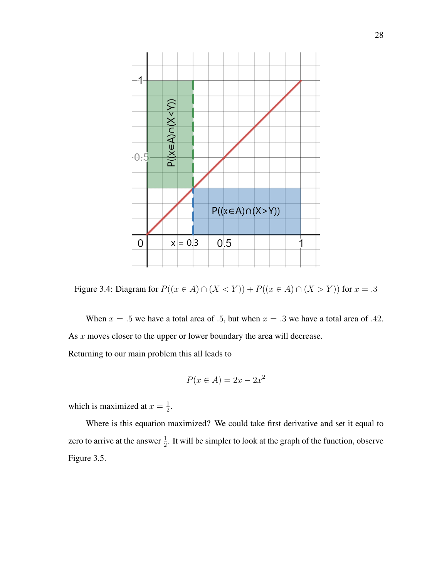

Figure 3.4: Diagram for  $P((x \in A) ∩ (X < Y)) + P((x \in A) ∩ (X > Y))$  for  $x = .3$ 

When  $x = .5$  we have a total area of .5, but when  $x = .3$  we have a total area of .42. As  $x$  moves closer to the upper or lower boundary the area will decrease. Returning to our main problem this all leads to

$$
P(x \in A) = 2x - 2x^2
$$

which is maximized at  $x = \frac{1}{2}$  $\frac{1}{2}$ .

Where is this equation maximized? We could take first derivative and set it equal to zero to arrive at the answer  $\frac{1}{2}$ . It will be simpler to look at the graph of the function, observe Figure 3.5.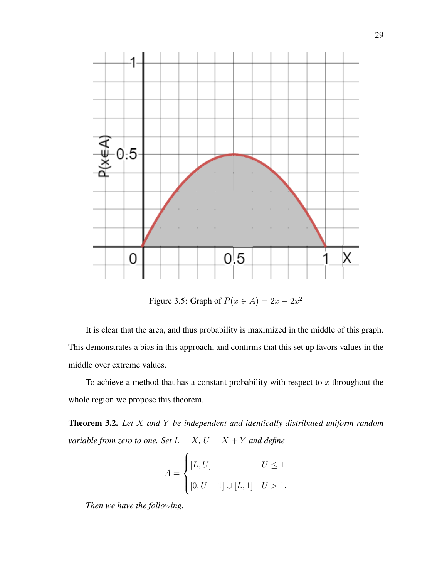

Figure 3.5: Graph of  $P(x \in A) = 2x - 2x^2$ 

It is clear that the area, and thus probability is maximized in the middle of this graph. This demonstrates a bias in this approach, and confirms that this set up favors values in the middle over extreme values.

To achieve a method that has a constant probability with respect to  $x$  throughout the whole region we propose this theorem.

Theorem 3.2. *Let* X *and* Y *be independent and identically distributed uniform random variable from zero to one. Set*  $L = X$ ,  $U = X + Y$  *and define* 

$$
A = \begin{cases} [L, U] & U \le 1 \\ [0, U - 1] \cup [L, 1] & U > 1. \end{cases}
$$

*Then we have the following.*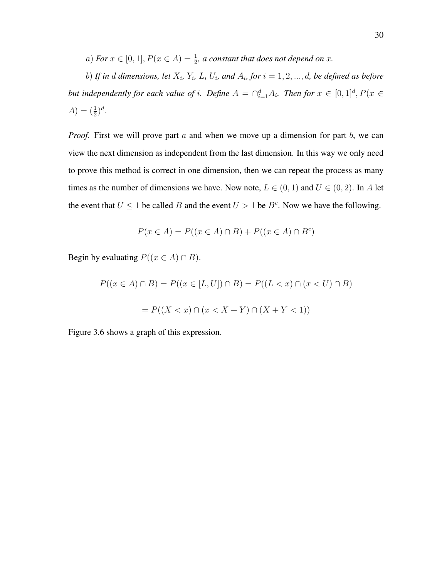*a*) For  $x \in [0, 1], P(x \in A) = \frac{1}{2}$ , a constant that does not depend on x.

b) If in  $d$  dimensions, let  $X_i$ ,  $Y_i$ ,  $L_i$   $U_i$ , and  $A_i$ , for  $i = 1, 2, ..., d$ , be defined as before *but independently for each value of i. Define*  $A = \bigcap_{i=1}^d A_i$ *. Then for*  $x \in [0,1]^d$ ,  $P(x \in$  $A) = (\frac{1}{2})^d$ .

*Proof.* First we will prove part a and when we move up a dimension for part b, we can view the next dimension as independent from the last dimension. In this way we only need to prove this method is correct in one dimension, then we can repeat the process as many times as the number of dimensions we have. Now note,  $L \in (0, 1)$  and  $U \in (0, 2)$ . In A let the event that  $U \leq 1$  be called B and the event  $U > 1$  be  $B<sup>c</sup>$ . Now we have the following.

$$
P(x \in A) = P((x \in A) \cap B) + P((x \in A) \cap B^c)
$$

Begin by evaluating  $P((x \in A) \cap B)$ .

$$
P((x \in A) \cap B) = P((x \in [L, U]) \cap B) = P((L < x) \cap (x < U) \cap B)
$$

$$
= P((X < x) \cap (x < X + Y) \cap (X + Y < 1))
$$

Figure 3.6 shows a graph of this expression.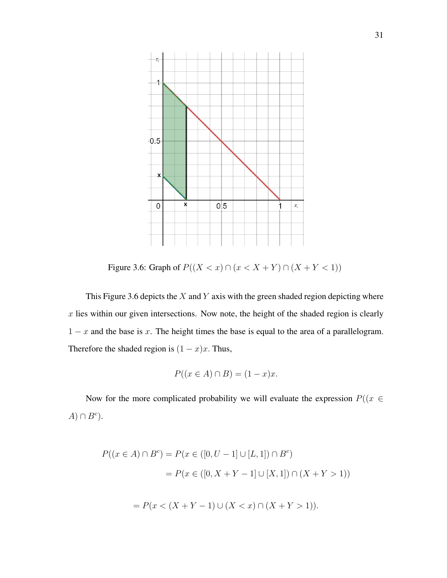

Figure 3.6: Graph of  $P((X < x) \cap (x < X + Y) \cap (X + Y < 1))$ 

This Figure 3.6 depicts the  $X$  and  $Y$  axis with the green shaded region depicting where  $x$  lies within our given intersections. Now note, the height of the shaded region is clearly  $1 - x$  and the base is x. The height times the base is equal to the area of a parallelogram. Therefore the shaded region is  $(1 - x)x$ . Thus,

$$
P((x \in A) \cap B) = (1 - x)x.
$$

Now for the more complicated probability we will evaluate the expression  $P((x \in$  $(A) \cap B^c$ ).

$$
P((x \in A) \cap B^{c}) = P(x \in ([0, U - 1] \cup [L, 1]) \cap B^{c})
$$
  
= 
$$
P(x \in ([0, X + Y - 1] \cup [X, 1]) \cap (X + Y > 1))
$$
  
= 
$$
P(x < (X + Y - 1) \cup (X < x) \cap (X + Y > 1)).
$$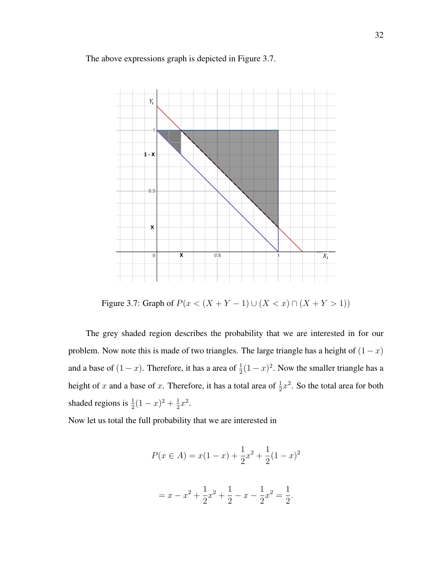## The above expressions graph is depicted in Figure 3.7.



Figure 3.7: Graph of  $P(x < (X + Y - 1) \cup (X < x) \cap (X + Y > 1))$ 

The grey shaded region describes the probability that we are interested in for our problem. Now note this is made of two triangles. The large triangle has a height of  $(1 - x)$ and a base of  $(1-x)$ . Therefore, it has a area of  $\frac{1}{2}(1-x)^2$ . Now the smaller triangle has a height of x and a base of x. Therefore, it has a total area of  $\frac{1}{2}x^2$ . So the total area for both shaded regions is  $\frac{1}{2}(1-x)^2 + \frac{1}{2}$  $\frac{1}{2}x^2$ .

Now let us total the full probability that we are interested in

$$
P(x \in A) = x(1-x) + \frac{1}{2}x^2 + \frac{1}{2}(1-x)^2
$$

$$
= x - x^2 + \frac{1}{2}x^2 + \frac{1}{2} - x - \frac{1}{2}x^2 = \frac{1}{2}.
$$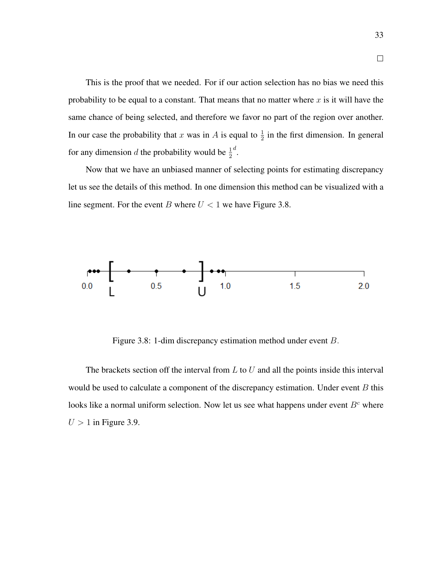This is the proof that we needed. For if our action selection has no bias we need this probability to be equal to a constant. That means that no matter where  $x$  is it will have the same chance of being selected, and therefore we favor no part of the region over another. In our case the probability that x was in A is equal to  $\frac{1}{2}$  in the first dimension. In general for any dimension d the probability would be  $\frac{1}{2}$ d .

Now that we have an unbiased manner of selecting points for estimating discrepancy let us see the details of this method. In one dimension this method can be visualized with a line segment. For the event B where  $U < 1$  we have Figure 3.8.



Figure 3.8: 1-dim discrepancy estimation method under event B.

The brackets section off the interval from  $L$  to  $U$  and all the points inside this interval would be used to calculate a component of the discrepancy estimation. Under event  $B$  this looks like a normal uniform selection. Now let us see what happens under event  $B<sup>c</sup>$  where  $U > 1$  in Figure 3.9.

 $\Box$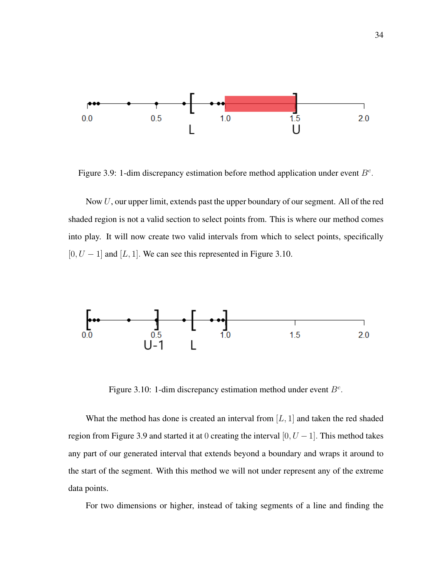

Figure 3.9: 1-dim discrepancy estimation before method application under event  $B^c$ .

Now  $U$ , our upper limit, extends past the upper boundary of our segment. All of the red shaded region is not a valid section to select points from. This is where our method comes into play. It will now create two valid intervals from which to select points, specifically  $[0, U - 1]$  and  $[L, 1]$ . We can see this represented in Figure 3.10.



Figure 3.10: 1-dim discrepancy estimation method under event  $B^c$ .

What the method has done is created an interval from  $[L, 1]$  and taken the red shaded region from Figure 3.9 and started it at 0 creating the interval  $[0, U - 1]$ . This method takes any part of our generated interval that extends beyond a boundary and wraps it around to the start of the segment. With this method we will not under represent any of the extreme data points.

For two dimensions or higher, instead of taking segments of a line and finding the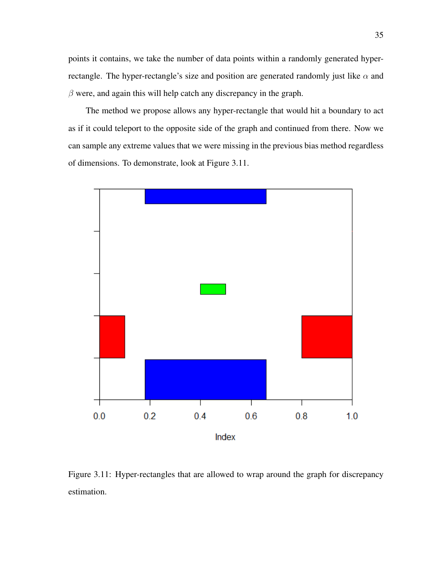points it contains, we take the number of data points within a randomly generated hyperrectangle. The hyper-rectangle's size and position are generated randomly just like  $\alpha$  and  $\beta$  were, and again this will help catch any discrepancy in the graph.

The method we propose allows any hyper-rectangle that would hit a boundary to act as if it could teleport to the opposite side of the graph and continued from there. Now we can sample any extreme values that we were missing in the previous bias method regardless of dimensions. To demonstrate, look at Figure 3.11.



Figure 3.11: Hyper-rectangles that are allowed to wrap around the graph for discrepancy estimation.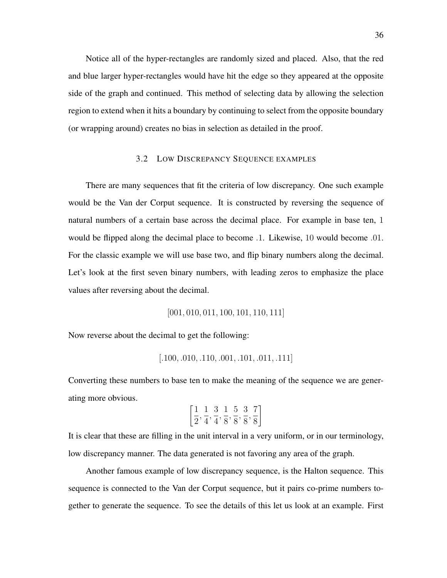Notice all of the hyper-rectangles are randomly sized and placed. Also, that the red and blue larger hyper-rectangles would have hit the edge so they appeared at the opposite side of the graph and continued. This method of selecting data by allowing the selection region to extend when it hits a boundary by continuing to select from the opposite boundary (or wrapping around) creates no bias in selection as detailed in the proof.

# 3.2 LOW DISCREPANCY SEQUENCE EXAMPLES

There are many sequences that fit the criteria of low discrepancy. One such example would be the Van der Corput sequence. It is constructed by reversing the sequence of natural numbers of a certain base across the decimal place. For example in base ten, 1 would be flipped along the decimal place to become .1. Likewise, 10 would become .01. For the classic example we will use base two, and flip binary numbers along the decimal. Let's look at the first seven binary numbers, with leading zeros to emphasize the place values after reversing about the decimal.

[001, 010, 011, 100, 101, 110, 111]

Now reverse about the decimal to get the following:

$$
[.100, .010, .110, .001, .101, .011, .111]
$$

Converting these numbers to base ten to make the meaning of the sequence we are generating more obvious.

$$
\left[\frac{1}{2}, \frac{1}{4}, \frac{3}{4}, \frac{1}{8}, \frac{5}{8}, \frac{3}{8}, \frac{7}{8}\right]
$$

It is clear that these are filling in the unit interval in a very uniform, or in our terminology, low discrepancy manner. The data generated is not favoring any area of the graph.

Another famous example of low discrepancy sequence, is the Halton sequence. This sequence is connected to the Van der Corput sequence, but it pairs co-prime numbers together to generate the sequence. To see the details of this let us look at an example. First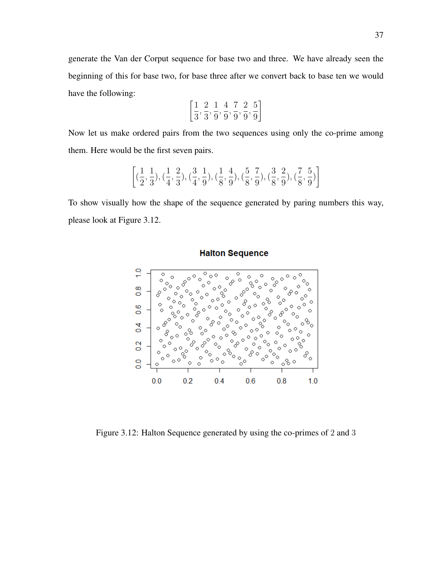generate the Van der Corput sequence for base two and three. We have already seen the beginning of this for base two, for base three after we convert back to base ten we would have the following:

$$
\left[{\frac{1}{3}}, {\frac{2}{3}}, {\frac{1}{9}}, {\frac{4}{9}}, {\frac{7}{9}}, {\frac{2}{9}}, {\frac{5}{9}}\right]
$$

Now let us make ordered pairs from the two sequences using only the co-prime among them. Here would be the first seven pairs.

$$
\left[ (\frac{1}{2}, \frac{1}{3}), (\frac{1}{4}, \frac{2}{3}), (\frac{3}{4}, \frac{1}{9}), (\frac{1}{8}, \frac{4}{9}), (\frac{5}{8}, \frac{7}{9}), (\frac{3}{8}, \frac{2}{9}), (\frac{7}{8}, \frac{5}{9}) \right]
$$

To show visually how the shape of the sequence generated by paring numbers this way, please look at Figure 3.12.



**Halton Sequence** 

Figure 3.12: Halton Sequence generated by using the co-primes of 2 and 3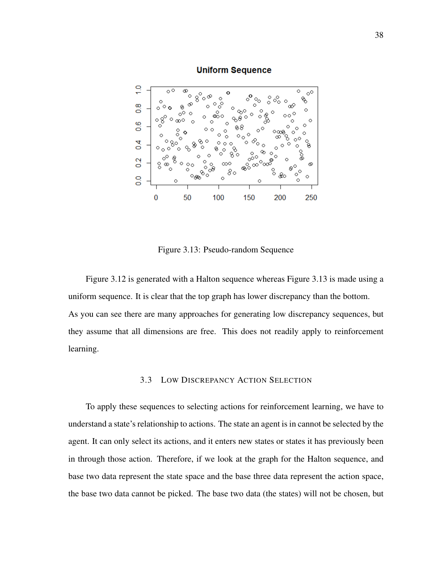#### **Uniform Sequence**



Figure 3.13: Pseudo-random Sequence

Figure 3.12 is generated with a Halton sequence whereas Figure 3.13 is made using a uniform sequence. It is clear that the top graph has lower discrepancy than the bottom. As you can see there are many approaches for generating low discrepancy sequences, but they assume that all dimensions are free. This does not readily apply to reinforcement learning.

# 3.3 LOW DISCREPANCY ACTION SELECTION

To apply these sequences to selecting actions for reinforcement learning, we have to understand a state's relationship to actions. The state an agent is in cannot be selected by the agent. It can only select its actions, and it enters new states or states it has previously been in through those action. Therefore, if we look at the graph for the Halton sequence, and base two data represent the state space and the base three data represent the action space, the base two data cannot be picked. The base two data (the states) will not be chosen, but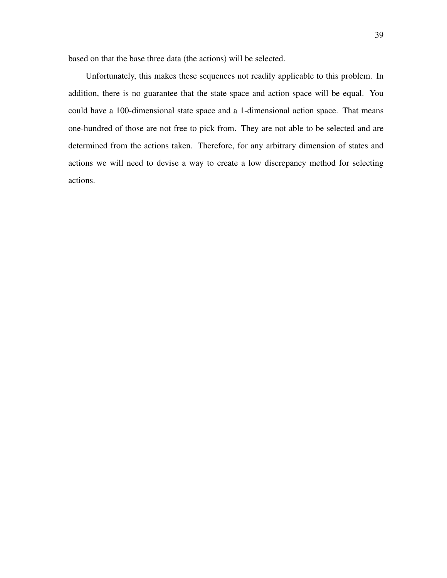based on that the base three data (the actions) will be selected.

Unfortunately, this makes these sequences not readily applicable to this problem. In addition, there is no guarantee that the state space and action space will be equal. You could have a 100-dimensional state space and a 1-dimensional action space. That means one-hundred of those are not free to pick from. They are not able to be selected and are determined from the actions taken. Therefore, for any arbitrary dimension of states and actions we will need to devise a way to create a low discrepancy method for selecting actions.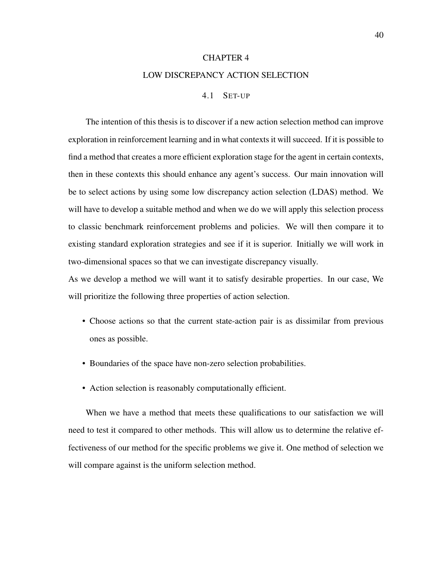#### CHAPTER 4

#### LOW DISCREPANCY ACTION SELECTION

## 4.1 SET-UP

The intention of this thesis is to discover if a new action selection method can improve exploration in reinforcement learning and in what contexts it will succeed. If it is possible to find a method that creates a more efficient exploration stage for the agent in certain contexts, then in these contexts this should enhance any agent's success. Our main innovation will be to select actions by using some low discrepancy action selection (LDAS) method. We will have to develop a suitable method and when we do we will apply this selection process to classic benchmark reinforcement problems and policies. We will then compare it to existing standard exploration strategies and see if it is superior. Initially we will work in two-dimensional spaces so that we can investigate discrepancy visually.

As we develop a method we will want it to satisfy desirable properties. In our case, We will prioritize the following three properties of action selection.

- Choose actions so that the current state-action pair is as dissimilar from previous ones as possible.
- Boundaries of the space have non-zero selection probabilities.
- Action selection is reasonably computationally efficient.

When we have a method that meets these qualifications to our satisfaction we will need to test it compared to other methods. This will allow us to determine the relative effectiveness of our method for the specific problems we give it. One method of selection we will compare against is the uniform selection method.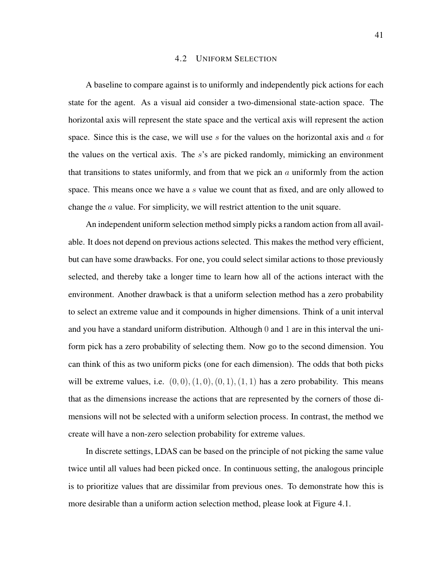#### 4.2 UNIFORM SELECTION

A baseline to compare against is to uniformly and independently pick actions for each state for the agent. As a visual aid consider a two-dimensional state-action space. The horizontal axis will represent the state space and the vertical axis will represent the action space. Since this is the case, we will use s for the values on the horizontal axis and  $\alpha$  for the values on the vertical axis. The s's are picked randomly, mimicking an environment that transitions to states uniformly, and from that we pick an  $a$  uniformly from the action space. This means once we have a s value we count that as fixed, and are only allowed to change the a value. For simplicity, we will restrict attention to the unit square.

An independent uniform selection method simply picks a random action from all available. It does not depend on previous actions selected. This makes the method very efficient, but can have some drawbacks. For one, you could select similar actions to those previously selected, and thereby take a longer time to learn how all of the actions interact with the environment. Another drawback is that a uniform selection method has a zero probability to select an extreme value and it compounds in higher dimensions. Think of a unit interval and you have a standard uniform distribution. Although 0 and 1 are in this interval the uniform pick has a zero probability of selecting them. Now go to the second dimension. You can think of this as two uniform picks (one for each dimension). The odds that both picks will be extreme values, i.e.  $(0, 0), (1, 0), (0, 1), (1, 1)$  has a zero probability. This means that as the dimensions increase the actions that are represented by the corners of those dimensions will not be selected with a uniform selection process. In contrast, the method we create will have a non-zero selection probability for extreme values.

In discrete settings, LDAS can be based on the principle of not picking the same value twice until all values had been picked once. In continuous setting, the analogous principle is to prioritize values that are dissimilar from previous ones. To demonstrate how this is more desirable than a uniform action selection method, please look at Figure 4.1.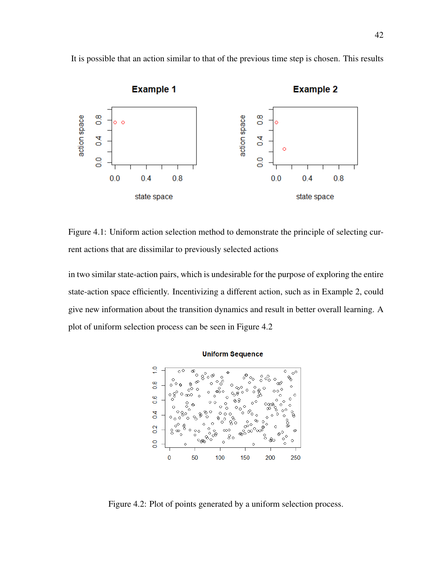

It is possible that an action similar to that of the previous time step is chosen. This results

Figure 4.1: Uniform action selection method to demonstrate the principle of selecting current actions that are dissimilar to previously selected actions

in two similar state-action pairs, which is undesirable for the purpose of exploring the entire state-action space efficiently. Incentivizing a different action, such as in Example 2, could give new information about the transition dynamics and result in better overall learning. A plot of uniform selection process can be seen in Figure 4.2



Figure 4.2: Plot of points generated by a uniform selection process.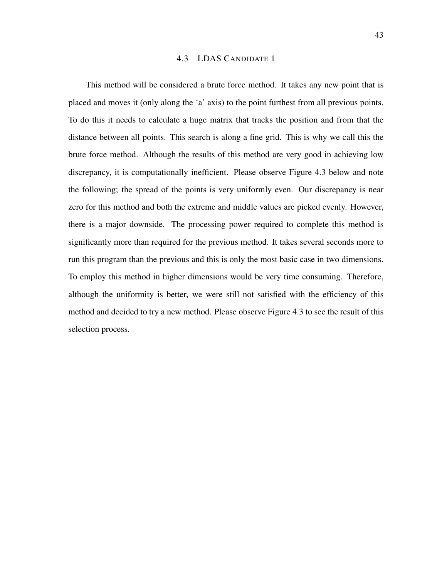#### 4.3 LDAS CANDIDATE 1

This method will be considered a brute force method. It takes any new point that is placed and moves it (only along the 'a' axis) to the point furthest from all previous points. To do this it needs to calculate a huge matrix that tracks the position and from that the distance between all points. This search is along a fine grid. This is why we call this the brute force method. Although the results of this method are very good in achieving low discrepancy, it is computationally inefficient. Please observe Figure 4.3 below and note the following; the spread of the points is very uniformly even. Our discrepancy is near zero for this method and both the extreme and middle values are picked evenly. However, there is a major downside. The processing power required to complete this method is significantly more than required for the previous method. It takes several seconds more to run this program than the previous and this is only the most basic case in two dimensions. To employ this method in higher dimensions would be very time consuming. Therefore, although the uniformity is better, we were still not satisfied with the efficiency of this method and decided to try a new method. Please observe Figure 4.3 to see the result of this selection process.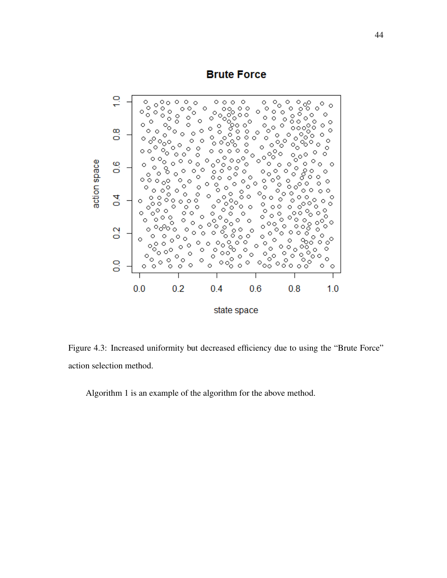# **Brute Force**



Figure 4.3: Increased uniformity but decreased efficiency due to using the "Brute Force" action selection method.

Algorithm 1 is an example of the algorithm for the above method.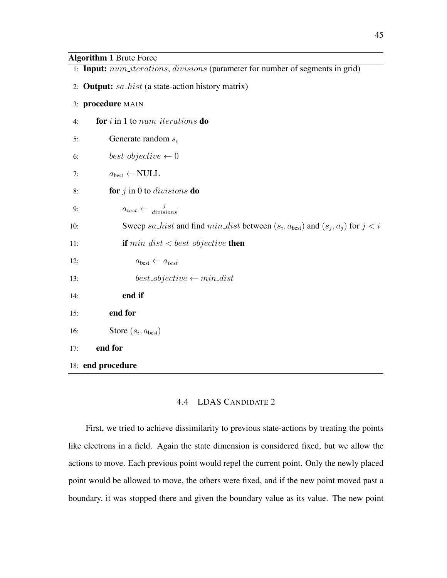# Algorithm 1 Brute Force

|     | 1: Input: num_iterations, divisions (parameter for number of segments in grid)            |
|-----|-------------------------------------------------------------------------------------------|
|     | 2: <b>Output:</b> sa_hist (a state-action history matrix)                                 |
|     | 3: procedure MAIN                                                                         |
| 4:  | for $i$ in 1 to $num\_iterations$ do                                                      |
| 5:  | Generate random $s_i$                                                                     |
| 6:  | $best\_objective \leftarrow 0$                                                            |
| 7:  | $a_{best} \leftarrow NULL$                                                                |
| 8:  | for $j$ in 0 to <i>divisions</i> <b>do</b>                                                |
| 9:  | $a_{test} \leftarrow \frac{j}{divisions}$                                                 |
| 10: | Sweep sa_hist and find $min\_dist$ between $(s_i, a_{best})$ and $(s_j, a_j)$ for $j < i$ |
| 11: | <b>if</b> $min\_dist < best\_objective$ <b>then</b>                                       |
| 12: | $a_{best} \leftarrow a_{test}$                                                            |
| 13: | $best\_objective \leftarrow min\_dist$                                                    |
| 14: | end if                                                                                    |
| 15: | end for                                                                                   |
| 16: | Store $(s_i, a_{best})$                                                                   |
| 17: | end for                                                                                   |
|     | 18: end procedure                                                                         |

# 4.4 LDAS CANDIDATE 2

First, we tried to achieve dissimilarity to previous state-actions by treating the points like electrons in a field. Again the state dimension is considered fixed, but we allow the actions to move. Each previous point would repel the current point. Only the newly placed point would be allowed to move, the others were fixed, and if the new point moved past a boundary, it was stopped there and given the boundary value as its value. The new point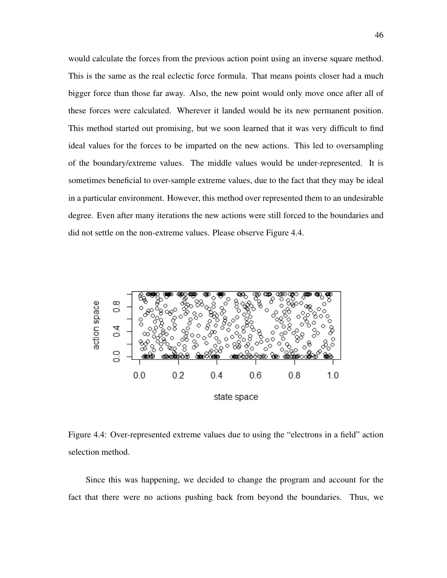would calculate the forces from the previous action point using an inverse square method. This is the same as the real eclectic force formula. That means points closer had a much bigger force than those far away. Also, the new point would only move once after all of these forces were calculated. Wherever it landed would be its new permanent position. This method started out promising, but we soon learned that it was very difficult to find ideal values for the forces to be imparted on the new actions. This led to oversampling of the boundary/extreme values. The middle values would be under-represented. It is sometimes beneficial to over-sample extreme values, due to the fact that they may be ideal in a particular environment. However, this method over represented them to an undesirable degree. Even after many iterations the new actions were still forced to the boundaries and did not settle on the non-extreme values. Please observe Figure 4.4.



Figure 4.4: Over-represented extreme values due to using the "electrons in a field" action selection method.

Since this was happening, we decided to change the program and account for the fact that there were no actions pushing back from beyond the boundaries. Thus, we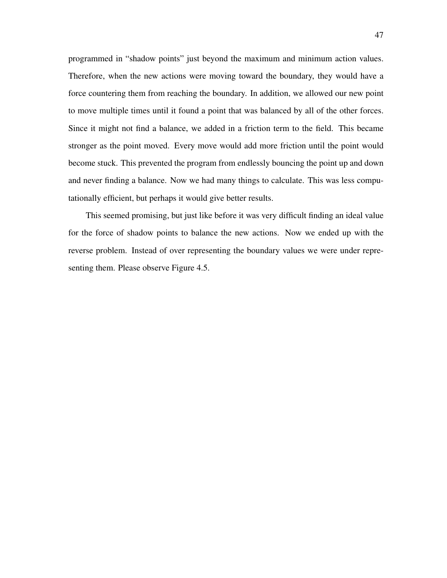programmed in "shadow points" just beyond the maximum and minimum action values. Therefore, when the new actions were moving toward the boundary, they would have a force countering them from reaching the boundary. In addition, we allowed our new point to move multiple times until it found a point that was balanced by all of the other forces. Since it might not find a balance, we added in a friction term to the field. This became stronger as the point moved. Every move would add more friction until the point would become stuck. This prevented the program from endlessly bouncing the point up and down and never finding a balance. Now we had many things to calculate. This was less computationally efficient, but perhaps it would give better results.

This seemed promising, but just like before it was very difficult finding an ideal value for the force of shadow points to balance the new actions. Now we ended up with the reverse problem. Instead of over representing the boundary values we were under representing them. Please observe Figure 4.5.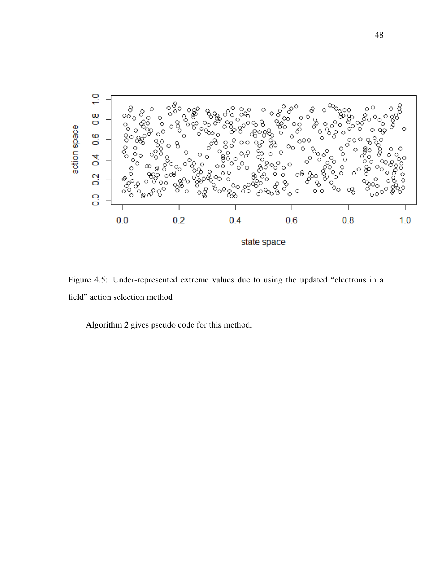

Figure 4.5: Under-represented extreme values due to using the updated "electrons in a field" action selection method

Algorithm 2 gives pseudo code for this method.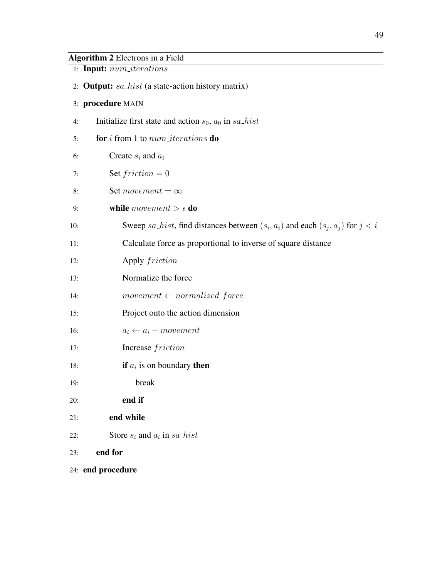# Algorithm 2 Electrons in a Field

- 1: Input: num iterations
- 2: **Output:**  $sa\_hist$  (a state-action history matrix)

## 3: procedure MAIN

- 4: Initialize first state and action  $s_0$ ,  $a_0$  in sa hist
- 5: **for** i from 1 to  $num\_iterations$  **do**
- 6: Create  $s_i$  and  $a_i$
- 7: Set  $friction = 0$
- 8: Set movement =  $\infty$
- 9: **while** movement  $> \epsilon$  **do**
- 10: Sweep sa hist, find distances between  $(s_i, a_i)$  and each  $(s_j, a_j)$  for  $j < i$
- 11: Calculate force as proportional to inverse of square distance
- 12: Apply friction
- 13: Normalize the force
- 14:  $$
- 15: Project onto the action dimension
- 16:  $a_i \leftarrow a_i + movement$
- 17: Increase friction
- 18: **if**  $a_i$  is on boundary **then**
- 19: break
- 20: end if
- 21: end while
- 22: Store  $s_i$  and  $a_i$  in  $sa\_hist$
- 23: end for
- 24: end procedure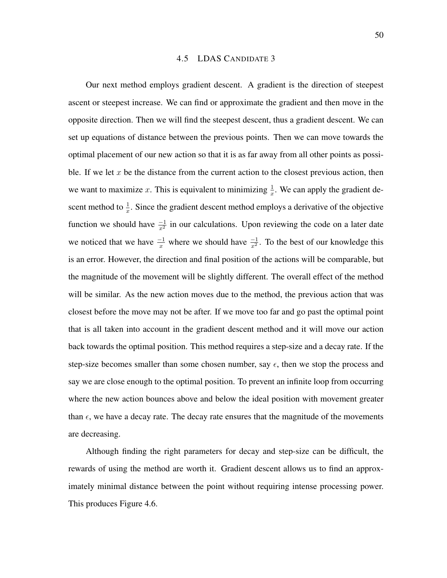#### 4.5 LDAS CANDIDATE 3

Our next method employs gradient descent. A gradient is the direction of steepest ascent or steepest increase. We can find or approximate the gradient and then move in the opposite direction. Then we will find the steepest descent, thus a gradient descent. We can set up equations of distance between the previous points. Then we can move towards the optimal placement of our new action so that it is as far away from all other points as possible. If we let  $x$  be the distance from the current action to the closest previous action, then we want to maximize x. This is equivalent to minimizing  $\frac{1}{x}$ . We can apply the gradient descent method to  $\frac{1}{x}$ . Since the gradient descent method employs a derivative of the objective function we should have  $\frac{-1}{x^2}$  in our calculations. Upon reviewing the code on a later date we noticed that we have  $\frac{-1}{x}$  where we should have  $\frac{-1}{x^2}$ . To the best of our knowledge this is an error. However, the direction and final position of the actions will be comparable, but the magnitude of the movement will be slightly different. The overall effect of the method will be similar. As the new action moves due to the method, the previous action that was closest before the move may not be after. If we move too far and go past the optimal point that is all taken into account in the gradient descent method and it will move our action back towards the optimal position. This method requires a step-size and a decay rate. If the step-size becomes smaller than some chosen number, say  $\epsilon$ , then we stop the process and say we are close enough to the optimal position. To prevent an infinite loop from occurring where the new action bounces above and below the ideal position with movement greater than  $\epsilon$ , we have a decay rate. The decay rate ensures that the magnitude of the movements are decreasing.

Although finding the right parameters for decay and step-size can be difficult, the rewards of using the method are worth it. Gradient descent allows us to find an approximately minimal distance between the point without requiring intense processing power. This produces Figure 4.6.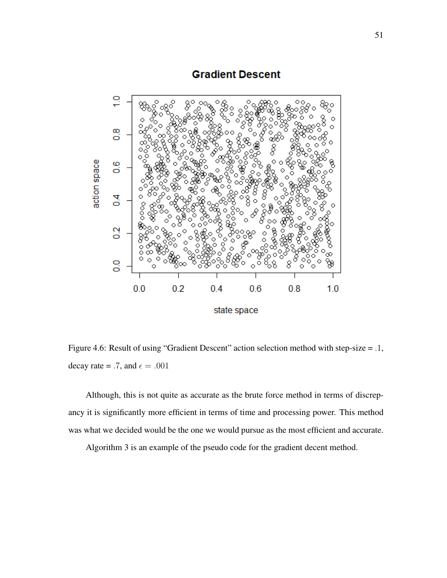# **Gradient Descent**



Figure 4.6: Result of using "Gradient Descent" action selection method with step-size = .1, decay rate = .7, and  $\epsilon = .001$ 

Although, this is not quite as accurate as the brute force method in terms of discrepancy it is significantly more efficient in terms of time and processing power. This method was what we decided would be the one we would pursue as the most efficient and accurate.

Algorithm 3 is an example of the pseudo code for the gradient decent method.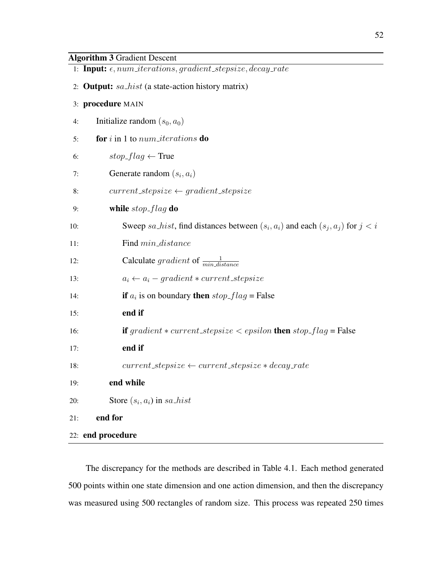| 1: Input: $\epsilon$ , num_iterations, gradient_stepsize, decay_rate                        |  |
|---------------------------------------------------------------------------------------------|--|
| 2: <b>Output:</b> sa_hist (a state-action history matrix)                                   |  |
| 3: procedure MAIN                                                                           |  |
| Initialize random $(s_0, a_0)$<br>4:                                                        |  |
| for $i$ in 1 to $num\_iterations$ do<br>5:                                                  |  |
| $stop\_flag \leftarrow True$<br>6:                                                          |  |
| Generate random $(s_i, a_i)$<br>7:                                                          |  |
| $current\_stepsize \leftarrow gradient\_stepsize$<br>8:                                     |  |
| while $stop$ - $flag$ do<br>9:                                                              |  |
| Sweep sa_hist, find distances between $(s_i, a_i)$ and each $(s_j, a_j)$ for $j < i$<br>10: |  |
| Find $min\_distance$<br>11:                                                                 |  |
| Calculate gradient of $\frac{1}{min\_distance}$<br>12:                                      |  |
| $a_i \leftarrow a_i - gradient * current\_stepsize$<br>13:                                  |  |
| if $a_i$ is on boundary then $stop\_flag = False$<br>14:                                    |  |
| end if<br>15:                                                                               |  |
| <b>if</b> gradient $*$ current_stepsize $\lt$ epsilon <b>then</b> stop_flag = False<br>16:  |  |
| end if<br>17:                                                                               |  |
| $current\_stepsize \leftarrow current\_stepsize * decay\_rate$<br>18:                       |  |
| end while<br>19:                                                                            |  |
| Store $(s_i, a_i)$ in sa_hist<br>20:                                                        |  |
| end for<br>21:                                                                              |  |
| 22: end procedure                                                                           |  |

The discrepancy for the methods are described in Table 4.1. Each method generated 500 points within one state dimension and one action dimension, and then the discrepancy was measured using 500 rectangles of random size. This process was repeated 250 times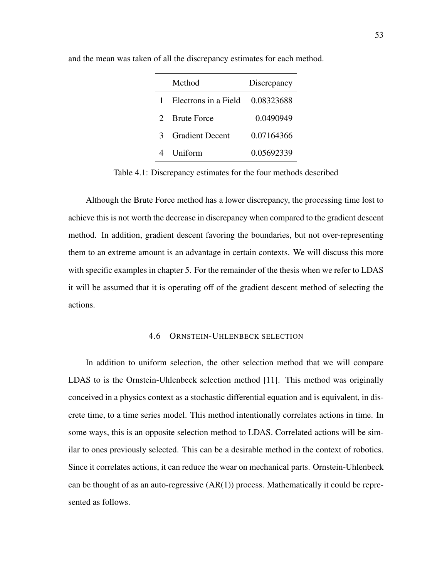|                             | Method                 | Discrepancy |
|-----------------------------|------------------------|-------------|
|                             | Electrons in a Field   | 0.08323688  |
| $\mathcal{D}_{\mathcal{L}}$ | <b>Brute Force</b>     | 0.0490949   |
| 3                           | <b>Gradient Decent</b> | 0.07164366  |
|                             | Uniform                | 0.05692339  |

and the mean was taken of all the discrepancy estimates for each method.

Table 4.1: Discrepancy estimates for the four methods described

Although the Brute Force method has a lower discrepancy, the processing time lost to achieve this is not worth the decrease in discrepancy when compared to the gradient descent method. In addition, gradient descent favoring the boundaries, but not over-representing them to an extreme amount is an advantage in certain contexts. We will discuss this more with specific examples in chapter 5. For the remainder of the thesis when we refer to LDAS it will be assumed that it is operating off of the gradient descent method of selecting the actions.

## 4.6 ORNSTEIN-UHLENBECK SELECTION

In addition to uniform selection, the other selection method that we will compare LDAS to is the Ornstein-Uhlenbeck selection method [11]. This method was originally conceived in a physics context as a stochastic differential equation and is equivalent, in discrete time, to a time series model. This method intentionally correlates actions in time. In some ways, this is an opposite selection method to LDAS. Correlated actions will be similar to ones previously selected. This can be a desirable method in the context of robotics. Since it correlates actions, it can reduce the wear on mechanical parts. Ornstein-Uhlenbeck can be thought of as an auto-regressive  $(AR(1))$  process. Mathematically it could be represented as follows.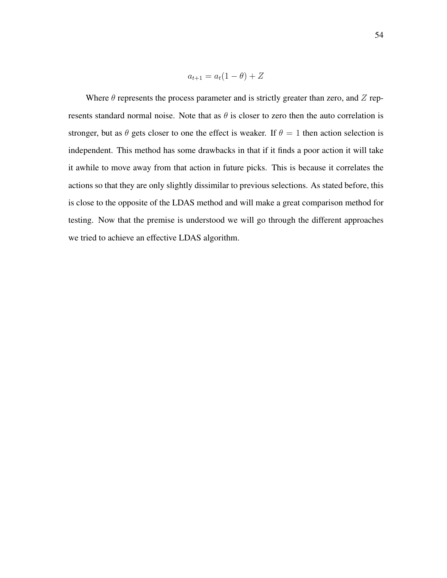$$
a_{t+1} = a_t(1 - \theta) + Z
$$

Where  $\theta$  represents the process parameter and is strictly greater than zero, and Z represents standard normal noise. Note that as  $\theta$  is closer to zero then the auto correlation is stronger, but as  $\theta$  gets closer to one the effect is weaker. If  $\theta = 1$  then action selection is independent. This method has some drawbacks in that if it finds a poor action it will take it awhile to move away from that action in future picks. This is because it correlates the actions so that they are only slightly dissimilar to previous selections. As stated before, this is close to the opposite of the LDAS method and will make a great comparison method for testing. Now that the premise is understood we will go through the different approaches we tried to achieve an effective LDAS algorithm.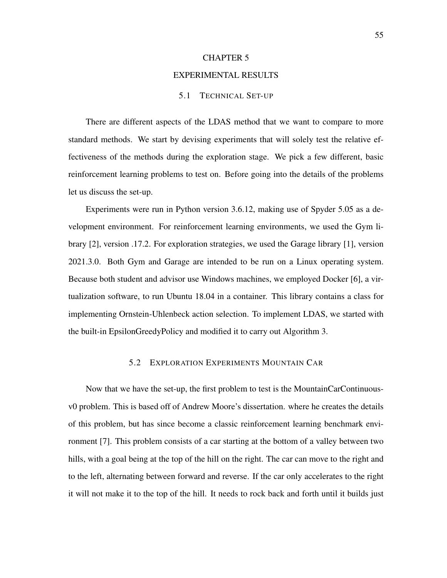#### CHAPTER 5

#### EXPERIMENTAL RESULTS

## 5.1 TECHNICAL SET-UP

There are different aspects of the LDAS method that we want to compare to more standard methods. We start by devising experiments that will solely test the relative effectiveness of the methods during the exploration stage. We pick a few different, basic reinforcement learning problems to test on. Before going into the details of the problems let us discuss the set-up.

Experiments were run in Python version 3.6.12, making use of Spyder 5.05 as a development environment. For reinforcement learning environments, we used the Gym library [2], version .17.2. For exploration strategies, we used the Garage library [1], version 2021.3.0. Both Gym and Garage are intended to be run on a Linux operating system. Because both student and advisor use Windows machines, we employed Docker [6], a virtualization software, to run Ubuntu 18.04 in a container. This library contains a class for implementing Ornstein-Uhlenbeck action selection. To implement LDAS, we started with the built-in EpsilonGreedyPolicy and modified it to carry out Algorithm 3.

## 5.2 EXPLORATION EXPERIMENTS MOUNTAIN CAR

Now that we have the set-up, the first problem to test is the MountainCarContinuousv0 problem. This is based off of Andrew Moore's dissertation. where he creates the details of this problem, but has since become a classic reinforcement learning benchmark environment [7]. This problem consists of a car starting at the bottom of a valley between two hills, with a goal being at the top of the hill on the right. The car can move to the right and to the left, alternating between forward and reverse. If the car only accelerates to the right it will not make it to the top of the hill. It needs to rock back and forth until it builds just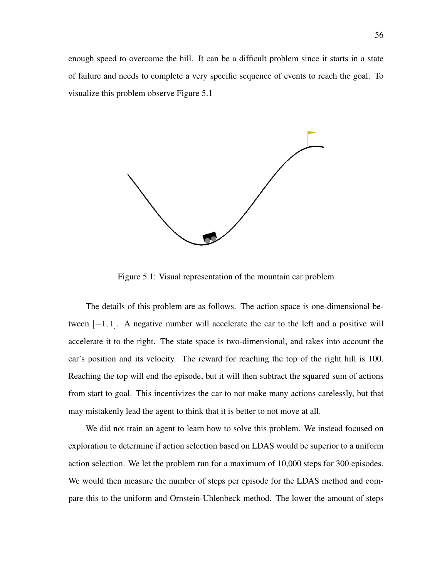enough speed to overcome the hill. It can be a difficult problem since it starts in a state of failure and needs to complete a very specific sequence of events to reach the goal. To visualize this problem observe Figure 5.1



Figure 5.1: Visual representation of the mountain car problem

The details of this problem are as follows. The action space is one-dimensional between  $[-1, 1]$ . A negative number will accelerate the car to the left and a positive will accelerate it to the right. The state space is two-dimensional, and takes into account the car's position and its velocity. The reward for reaching the top of the right hill is 100. Reaching the top will end the episode, but it will then subtract the squared sum of actions from start to goal. This incentivizes the car to not make many actions carelessly, but that may mistakenly lead the agent to think that it is better to not move at all.

We did not train an agent to learn how to solve this problem. We instead focused on exploration to determine if action selection based on LDAS would be superior to a uniform action selection. We let the problem run for a maximum of 10,000 steps for 300 episodes. We would then measure the number of steps per episode for the LDAS method and compare this to the uniform and Ornstein-Uhlenbeck method. The lower the amount of steps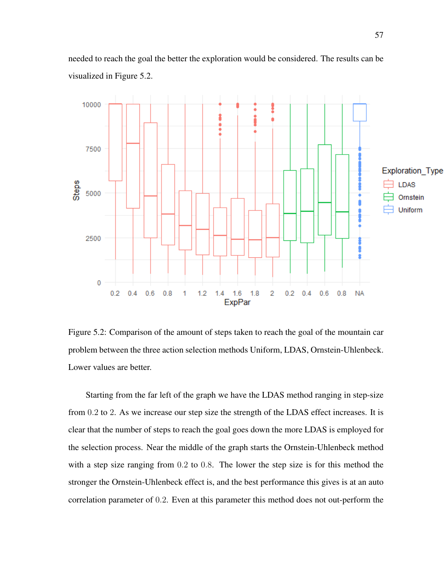

needed to reach the goal the better the exploration would be considered. The results can be visualized in Figure 5.2.

Figure 5.2: Comparison of the amount of steps taken to reach the goal of the mountain car problem between the three action selection methods Uniform, LDAS, Ornstein-Uhlenbeck. Lower values are better.

Starting from the far left of the graph we have the LDAS method ranging in step-size from 0.2 to 2. As we increase our step size the strength of the LDAS effect increases. It is clear that the number of steps to reach the goal goes down the more LDAS is employed for the selection process. Near the middle of the graph starts the Ornstein-Uhlenbeck method with a step size ranging from 0.2 to 0.8. The lower the step size is for this method the stronger the Ornstein-Uhlenbeck effect is, and the best performance this gives is at an auto correlation parameter of 0.2. Even at this parameter this method does not out-perform the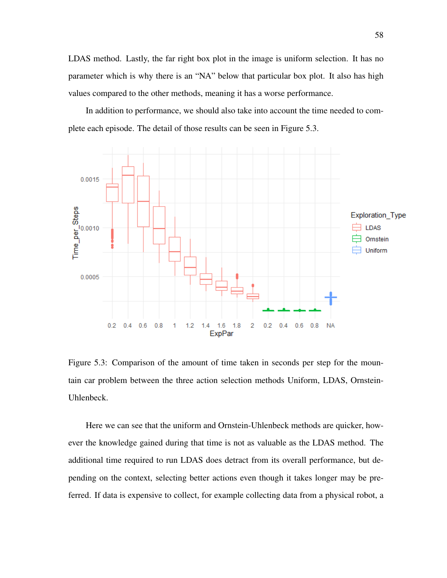LDAS method. Lastly, the far right box plot in the image is uniform selection. It has no parameter which is why there is an "NA" below that particular box plot. It also has high values compared to the other methods, meaning it has a worse performance.

In addition to performance, we should also take into account the time needed to complete each episode. The detail of those results can be seen in Figure 5.3.



Figure 5.3: Comparison of the amount of time taken in seconds per step for the mountain car problem between the three action selection methods Uniform, LDAS, Ornstein-Uhlenbeck.

Here we can see that the uniform and Ornstein-Uhlenbeck methods are quicker, however the knowledge gained during that time is not as valuable as the LDAS method. The additional time required to run LDAS does detract from its overall performance, but depending on the context, selecting better actions even though it takes longer may be preferred. If data is expensive to collect, for example collecting data from a physical robot, a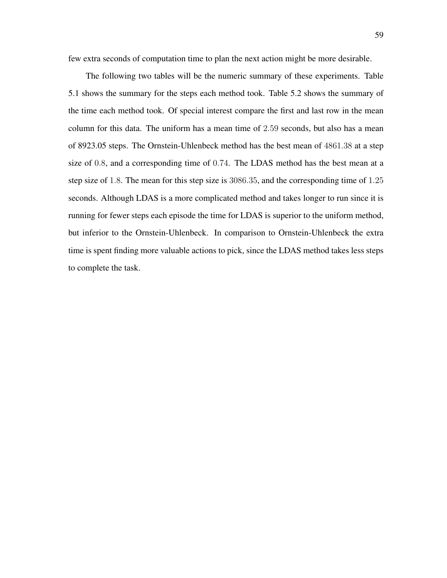few extra seconds of computation time to plan the next action might be more desirable.

The following two tables will be the numeric summary of these experiments. Table 5.1 shows the summary for the steps each method took. Table 5.2 shows the summary of the time each method took. Of special interest compare the first and last row in the mean column for this data. The uniform has a mean time of 2.59 seconds, but also has a mean of 8923.05 steps. The Ornstein-Uhlenbeck method has the best mean of 4861.38 at a step size of 0.8, and a corresponding time of 0.74. The LDAS method has the best mean at a step size of 1.8. The mean for this step size is 3086.35, and the corresponding time of 1.25 seconds. Although LDAS is a more complicated method and takes longer to run since it is running for fewer steps each episode the time for LDAS is superior to the uniform method, but inferior to the Ornstein-Uhlenbeck. In comparison to Ornstein-Uhlenbeck the extra time is spent finding more valuable actions to pick, since the LDAS method takes less steps to complete the task.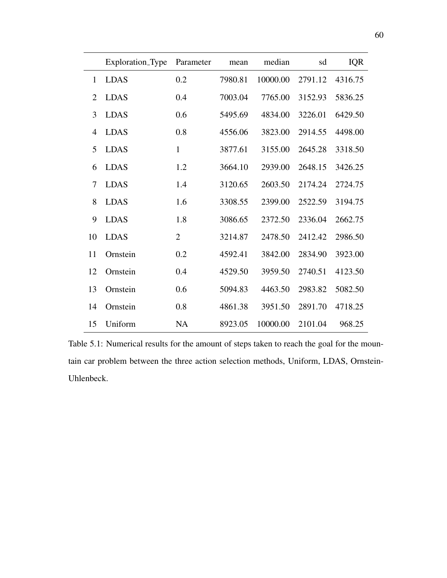|                | Exploration_Type | Parameter      | mean    | median   | sd      | <b>IQR</b> |
|----------------|------------------|----------------|---------|----------|---------|------------|
|                |                  |                |         |          |         |            |
| 1              | <b>LDAS</b>      | 0.2            | 7980.81 | 10000.00 | 2791.12 | 4316.75    |
| $\overline{2}$ | <b>LDAS</b>      | 0.4            | 7003.04 | 7765.00  | 3152.93 | 5836.25    |
| 3              | <b>LDAS</b>      | 0.6            | 5495.69 | 4834.00  | 3226.01 | 6429.50    |
| 4              | <b>LDAS</b>      | 0.8            | 4556.06 | 3823.00  | 2914.55 | 4498.00    |
| 5              | <b>LDAS</b>      | $\mathbf{1}$   | 3877.61 | 3155.00  | 2645.28 | 3318.50    |
| 6              | <b>LDAS</b>      | 1.2            | 3664.10 | 2939.00  | 2648.15 | 3426.25    |
| 7              | <b>LDAS</b>      | 1.4            | 3120.65 | 2603.50  | 2174.24 | 2724.75    |
| 8              | <b>LDAS</b>      | 1.6            | 3308.55 | 2399.00  | 2522.59 | 3194.75    |
| 9              | <b>LDAS</b>      | 1.8            | 3086.65 | 2372.50  | 2336.04 | 2662.75    |
| 10             | <b>LDAS</b>      | $\overline{2}$ | 3214.87 | 2478.50  | 2412.42 | 2986.50    |
| 11             | Ornstein         | 0.2            | 4592.41 | 3842.00  | 2834.90 | 3923.00    |
| 12             | Ornstein         | 0.4            | 4529.50 | 3959.50  | 2740.51 | 4123.50    |
| 13             | Ornstein         | 0.6            | 5094.83 | 4463.50  | 2983.82 | 5082.50    |
| 14             | Ornstein         | 0.8            | 4861.38 | 3951.50  | 2891.70 | 4718.25    |
| 15             | Uniform          | <b>NA</b>      | 8923.05 | 10000.00 | 2101.04 | 968.25     |

Table 5.1: Numerical results for the amount of steps taken to reach the goal for the mountain car problem between the three action selection methods, Uniform, LDAS, Ornstein-Uhlenbeck.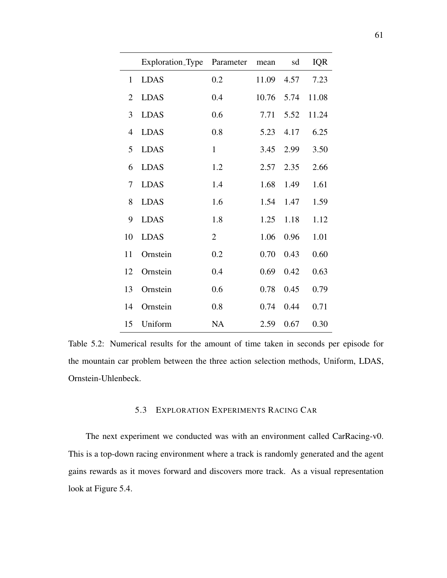|                | Exploration_Type | Parameter      | mean  | sd   | <b>IQR</b> |
|----------------|------------------|----------------|-------|------|------------|
| $\mathbf{1}$   | <b>LDAS</b>      | 0.2            | 11.09 | 4.57 | 7.23       |
| $\overline{2}$ | <b>LDAS</b>      | 0.4            | 10.76 | 5.74 | 11.08      |
| 3              | <b>LDAS</b>      | 0.6            | 7.71  | 5.52 | 11.24      |
| 4              | <b>LDAS</b>      | 0.8            | 5.23  | 4.17 | 6.25       |
| 5              | <b>LDAS</b>      | $\mathbf{1}$   | 3.45  | 2.99 | 3.50       |
| 6              | <b>LDAS</b>      | 1.2            | 2.57  | 2.35 | 2.66       |
| 7              | <b>LDAS</b>      | 1.4            | 1.68  | 1.49 | 1.61       |
| 8              | <b>LDAS</b>      | 1.6            | 1.54  | 1.47 | 1.59       |
| 9              | <b>LDAS</b>      | 1.8            | 1.25  | 1.18 | 1.12       |
| 10             | <b>LDAS</b>      | $\overline{2}$ | 1.06  | 0.96 | 1.01       |
| 11             | Ornstein         | 0.2            | 0.70  | 0.43 | 0.60       |
| 12             | Ornstein         | 0.4            | 0.69  | 0.42 | 0.63       |
| 13             | Ornstein         | 0.6            | 0.78  | 0.45 | 0.79       |
| 14             | Ornstein         | 0.8            | 0.74  | 0.44 | 0.71       |
| 15             | Uniform          | <b>NA</b>      | 2.59  | 0.67 | 0.30       |

Table 5.2: Numerical results for the amount of time taken in seconds per episode for the mountain car problem between the three action selection methods, Uniform, LDAS, Ornstein-Uhlenbeck.

# 5.3 EXPLORATION EXPERIMENTS RACING CAR

The next experiment we conducted was with an environment called CarRacing-v0. This is a top-down racing environment where a track is randomly generated and the agent gains rewards as it moves forward and discovers more track. As a visual representation look at Figure 5.4.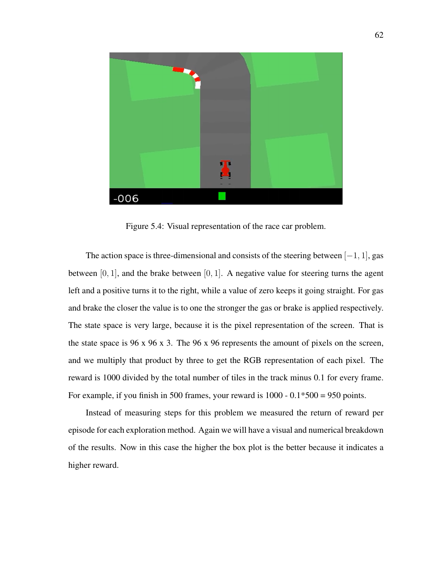

Figure 5.4: Visual representation of the race car problem.

The action space is three-dimensional and consists of the steering between  $[-1, 1]$ , gas between  $[0, 1]$ , and the brake between  $[0, 1]$ . A negative value for steering turns the agent left and a positive turns it to the right, while a value of zero keeps it going straight. For gas and brake the closer the value is to one the stronger the gas or brake is applied respectively. The state space is very large, because it is the pixel representation of the screen. That is the state space is 96 x 96 x 3. The 96 x 96 represents the amount of pixels on the screen, and we multiply that product by three to get the RGB representation of each pixel. The reward is 1000 divided by the total number of tiles in the track minus 0.1 for every frame. For example, if you finish in 500 frames, your reward is  $1000 - 0.1*500 = 950$  points.

Instead of measuring steps for this problem we measured the return of reward per episode for each exploration method. Again we will have a visual and numerical breakdown of the results. Now in this case the higher the box plot is the better because it indicates a higher reward.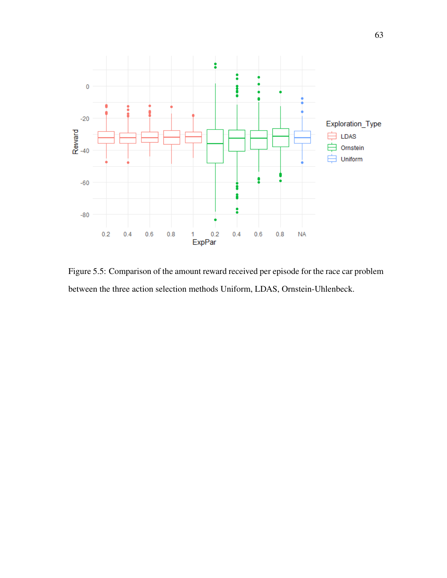

Figure 5.5: Comparison of the amount reward received per episode for the race car problem between the three action selection methods Uniform, LDAS, Ornstein-Uhlenbeck.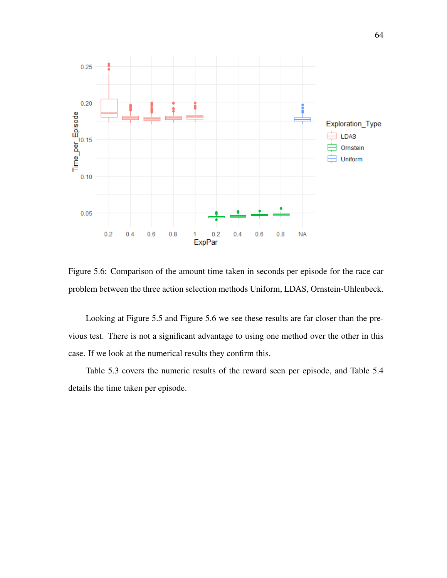

Figure 5.6: Comparison of the amount time taken in seconds per episode for the race car problem between the three action selection methods Uniform, LDAS, Ornstein-Uhlenbeck.

Looking at Figure 5.5 and Figure 5.6 we see these results are far closer than the previous test. There is not a significant advantage to using one method over the other in this case. If we look at the numerical results they confirm this.

Table 5.3 covers the numeric results of the reward seen per episode, and Table 5.4 details the time taken per episode.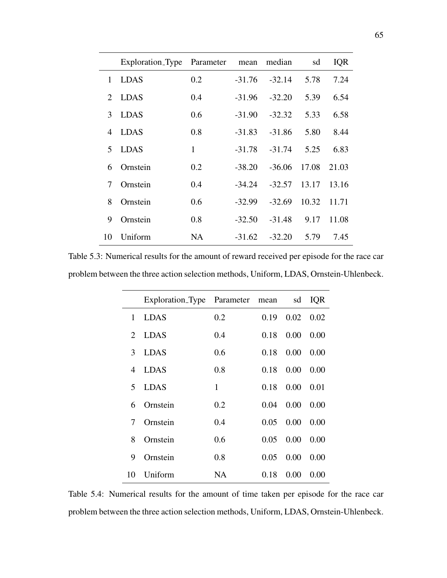|                             | Exploration_Type | Parameter | mean     | median   | sd    | <b>IQR</b> |
|-----------------------------|------------------|-----------|----------|----------|-------|------------|
| 1                           | <b>LDAS</b>      | 0.2       | $-31.76$ | $-32.14$ | 5.78  | 7.24       |
| $\mathcal{D}_{\mathcal{L}}$ | <b>LDAS</b>      | 0.4       | $-31.96$ | $-32.20$ | 5.39  | 6.54       |
| 3                           | <b>LDAS</b>      | 0.6       | $-31.90$ | $-32.32$ | 5.33  | 6.58       |
| 4                           | <b>LDAS</b>      | 0.8       | $-31.83$ | $-31.86$ | 5.80  | 8.44       |
| 5                           | <b>LDAS</b>      | 1         | $-31.78$ | $-31.74$ | 5.25  | 6.83       |
| 6                           | Ornstein         | 0.2       | $-38.20$ | $-36.06$ | 17.08 | 21.03      |
| 7                           | Ornstein         | 0.4       | $-34.24$ | $-32.57$ | 13.17 | 13.16      |
| 8                           | Ornstein         | 0.6       | $-32.99$ | $-32.69$ | 10.32 | 11.71      |
| 9                           | Ornstein         | 0.8       | $-32.50$ | $-31.48$ | 9.17  | 11.08      |
| 10                          | Uniform          | NA.       | $-31.62$ | $-32.20$ | 5.79  | 7.45       |

Table 5.3: Numerical results for the amount of reward received per episode for the race car problem between the three action selection methods, Uniform, LDAS, Ornstein-Uhlenbeck.

|                             | Exploration_Type Parameter |     | mean | sd   | <b>IQR</b> |
|-----------------------------|----------------------------|-----|------|------|------------|
| 1                           | <b>LDAS</b>                | 0.2 | 0.19 | 0.02 | 0.02       |
| $\mathcal{D}_{\mathcal{L}}$ | <b>LDAS</b>                | 0.4 | 0.18 | 0.00 | 0.00       |
| 3                           | <b>LDAS</b>                | 0.6 | 0.18 | 0.00 | 0.00       |
| 4                           | <b>LDAS</b>                | 0.8 | 0.18 | 0.00 | 0.00       |
| 5                           | <b>LDAS</b>                | 1   | 0.18 | 0.00 | 0.01       |
| 6                           | Ornstein                   | 0.2 | 0.04 | 0.00 | 0.00       |
| 7                           | Ornstein                   | 0.4 | 0.05 | 0.00 | 0.00       |
| 8                           | Ornstein                   | 0.6 | 0.05 | 0.00 | 0.00       |
| 9                           | Ornstein                   | 0.8 | 0.05 | 0.00 | 0.00       |
| 10                          | Uniform                    | NA  | 0.18 | 0.00 | 0.00       |

Table 5.4: Numerical results for the amount of time taken per episode for the race car problem between the three action selection methods, Uniform, LDAS, Ornstein-Uhlenbeck.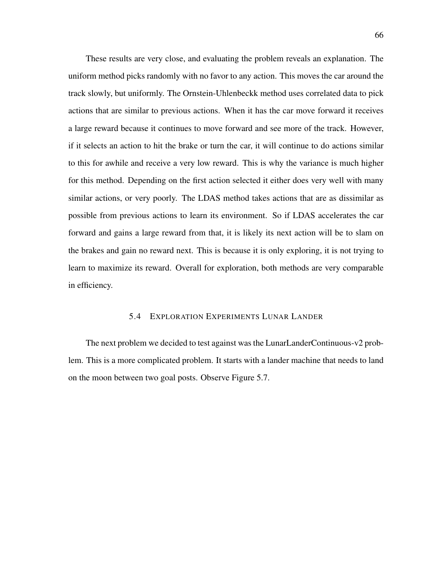These results are very close, and evaluating the problem reveals an explanation. The uniform method picks randomly with no favor to any action. This moves the car around the track slowly, but uniformly. The Ornstein-Uhlenbeckk method uses correlated data to pick actions that are similar to previous actions. When it has the car move forward it receives a large reward because it continues to move forward and see more of the track. However, if it selects an action to hit the brake or turn the car, it will continue to do actions similar to this for awhile and receive a very low reward. This is why the variance is much higher for this method. Depending on the first action selected it either does very well with many similar actions, or very poorly. The LDAS method takes actions that are as dissimilar as possible from previous actions to learn its environment. So if LDAS accelerates the car forward and gains a large reward from that, it is likely its next action will be to slam on the brakes and gain no reward next. This is because it is only exploring, it is not trying to learn to maximize its reward. Overall for exploration, both methods are very comparable in efficiency.

## 5.4 EXPLORATION EXPERIMENTS LUNAR LANDER

The next problem we decided to test against was the LunarLanderContinuous-v2 problem. This is a more complicated problem. It starts with a lander machine that needs to land on the moon between two goal posts. Observe Figure 5.7.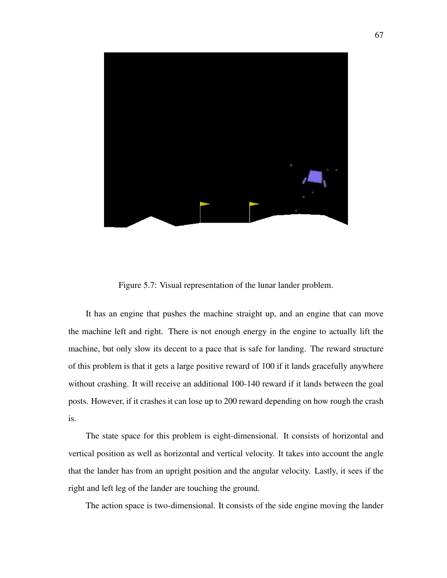

Figure 5.7: Visual representation of the lunar lander problem.

It has an engine that pushes the machine straight up, and an engine that can move the machine left and right. There is not enough energy in the engine to actually lift the machine, but only slow its decent to a pace that is safe for landing. The reward structure of this problem is that it gets a large positive reward of 100 if it lands gracefully anywhere without crashing. It will receive an additional 100-140 reward if it lands between the goal posts. However, if it crashes it can lose up to 200 reward depending on how rough the crash is.

The state space for this problem is eight-dimensional. It consists of horizontal and vertical position as well as horizontal and vertical velocity. It takes into account the angle that the lander has from an upright position and the angular velocity. Lastly, it sees if the right and left leg of the lander are touching the ground.

The action space is two-dimensional. It consists of the side engine moving the lander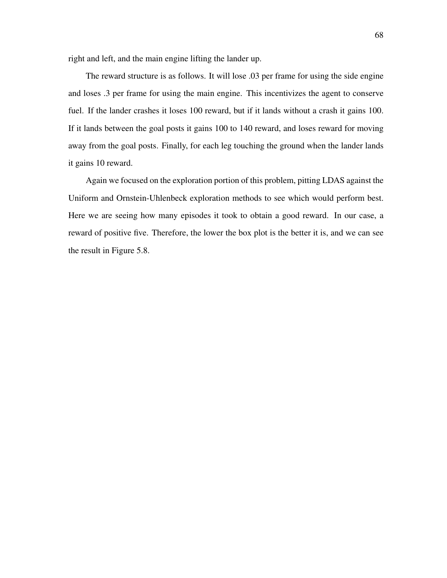right and left, and the main engine lifting the lander up.

The reward structure is as follows. It will lose .03 per frame for using the side engine and loses .3 per frame for using the main engine. This incentivizes the agent to conserve fuel. If the lander crashes it loses 100 reward, but if it lands without a crash it gains 100. If it lands between the goal posts it gains 100 to 140 reward, and loses reward for moving away from the goal posts. Finally, for each leg touching the ground when the lander lands it gains 10 reward.

Again we focused on the exploration portion of this problem, pitting LDAS against the Uniform and Ornstein-Uhlenbeck exploration methods to see which would perform best. Here we are seeing how many episodes it took to obtain a good reward. In our case, a reward of positive five. Therefore, the lower the box plot is the better it is, and we can see the result in Figure 5.8.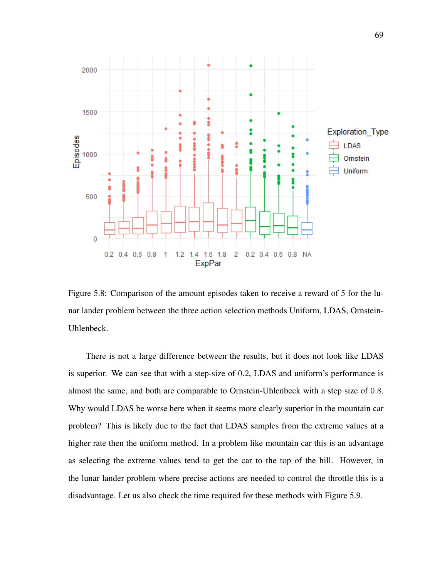

Figure 5.8: Comparison of the amount episodes taken to receive a reward of 5 for the lunar lander problem between the three action selection methods Uniform, LDAS, Ornstein-Uhlenbeck.

There is not a large difference between the results, but it does not look like LDAS is superior. We can see that with a step-size of 0.2, LDAS and uniform's performance is almost the same, and both are comparable to Ornstein-Uhlenbeck with a step size of 0.8. Why would LDAS be worse here when it seems more clearly superior in the mountain car problem? This is likely due to the fact that LDAS samples from the extreme values at a higher rate then the uniform method. In a problem like mountain car this is an advantage as selecting the extreme values tend to get the car to the top of the hill. However, in the lunar lander problem where precise actions are needed to control the throttle this is a disadvantage. Let us also check the time required for these methods with Figure 5.9.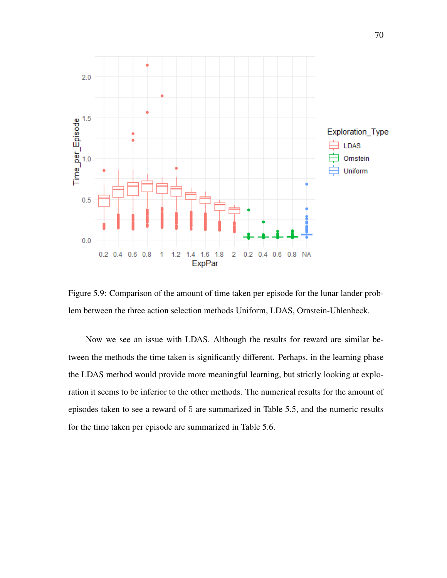

Figure 5.9: Comparison of the amount of time taken per episode for the lunar lander problem between the three action selection methods Uniform, LDAS, Ornstein-Uhlenbeck.

Now we see an issue with LDAS. Although the results for reward are similar between the methods the time taken is significantly different. Perhaps, in the learning phase the LDAS method would provide more meaningful learning, but strictly looking at exploration it seems to be inferior to the other methods. The numerical results for the amount of episodes taken to see a reward of 5 are summarized in Table 5.5, and the numeric results for the time taken per episode are summarized in Table 5.6.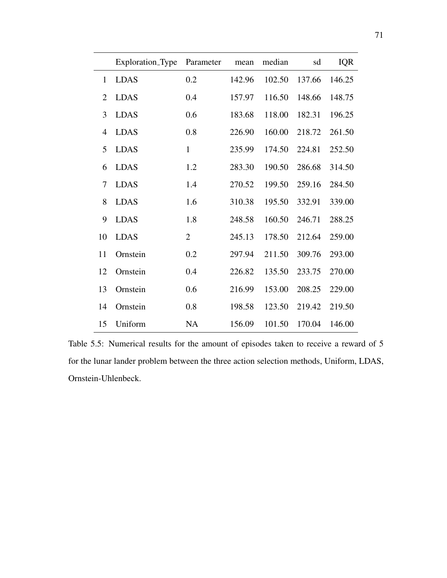|                | Exploration_Type | Parameter      | mean   | median | sd     | <b>IQR</b> |
|----------------|------------------|----------------|--------|--------|--------|------------|
| 1              | <b>LDAS</b>      | 0.2            | 142.96 | 102.50 | 137.66 | 146.25     |
| $\overline{2}$ | <b>LDAS</b>      | 0.4            | 157.97 | 116.50 | 148.66 | 148.75     |
| 3              | <b>LDAS</b>      | 0.6            | 183.68 | 118.00 | 182.31 | 196.25     |
| $\overline{4}$ | <b>LDAS</b>      | 0.8            | 226.90 | 160.00 | 218.72 | 261.50     |
| 5              | <b>LDAS</b>      | $\mathbf{1}$   | 235.99 | 174.50 | 224.81 | 252.50     |
| 6              | <b>LDAS</b>      | 1.2            | 283.30 | 190.50 | 286.68 | 314.50     |
| 7              | <b>LDAS</b>      | 1.4            | 270.52 | 199.50 | 259.16 | 284.50     |
| 8              | <b>LDAS</b>      | 1.6            | 310.38 | 195.50 | 332.91 | 339.00     |
| 9              | <b>LDAS</b>      | 1.8            | 248.58 | 160.50 | 246.71 | 288.25     |
| 10             | <b>LDAS</b>      | $\overline{2}$ | 245.13 | 178.50 | 212.64 | 259.00     |
| 11             | Ornstein         | 0.2            | 297.94 | 211.50 | 309.76 | 293.00     |
| 12             | Ornstein         | 0.4            | 226.82 | 135.50 | 233.75 | 270.00     |
| 13             | Ornstein         | 0.6            | 216.99 | 153.00 | 208.25 | 229.00     |
| 14             | Ornstein         | 0.8            | 198.58 | 123.50 | 219.42 | 219.50     |
| 15             | Uniform          | <b>NA</b>      | 156.09 | 101.50 | 170.04 | 146.00     |

Table 5.5: Numerical results for the amount of episodes taken to receive a reward of 5 for the lunar lander problem between the three action selection methods, Uniform, LDAS, Ornstein-Uhlenbeck.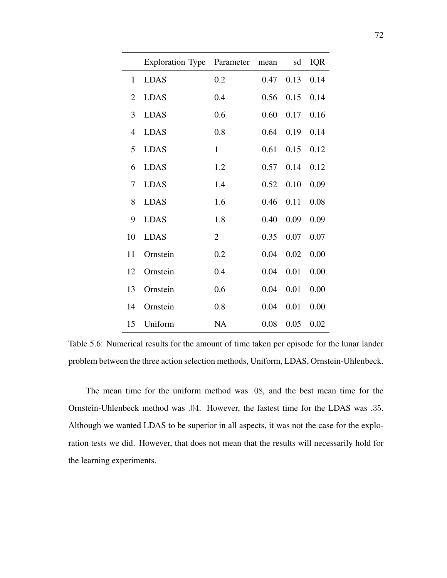|                | Exploration_Type | Parameter      | mean | sd   | <b>IQR</b> |
|----------------|------------------|----------------|------|------|------------|
| $\mathbf{1}$   | <b>LDAS</b>      | 0.2            | 0.47 | 0.13 | 0.14       |
| $\overline{2}$ | <b>LDAS</b>      | 0.4            | 0.56 | 0.15 | 0.14       |
| 3              | <b>LDAS</b>      | 0.6            | 0.60 | 0.17 | 0.16       |
| $\overline{4}$ | <b>LDAS</b>      | 0.8            | 0.64 | 0.19 | 0.14       |
| 5              | <b>LDAS</b>      | $\mathbf{1}$   | 0.61 | 0.15 | 0.12       |
| 6              | <b>LDAS</b>      | 1.2            | 0.57 | 0.14 | 0.12       |
| 7              | <b>LDAS</b>      | 1.4            | 0.52 | 0.10 | 0.09       |
| 8              | <b>LDAS</b>      | 1.6            | 0.46 | 0.11 | 0.08       |
| 9              | <b>LDAS</b>      | 1.8            | 0.40 | 0.09 | 0.09       |
| 10             | <b>LDAS</b>      | $\overline{2}$ | 0.35 | 0.07 | 0.07       |
| 11             | Ornstein         | 0.2            | 0.04 | 0.02 | 0.00       |
| 12             | Ornstein         | 0.4            | 0.04 | 0.01 | 0.00       |
| 13             | Ornstein         | 0.6            | 0.04 | 0.01 | 0.00       |
| 14             | Ornstein         | 0.8            | 0.04 | 0.01 | 0.00       |
| 15             | Uniform          | <b>NA</b>      | 0.08 | 0.05 | 0.02       |

Table 5.6: Numerical results for the amount of time taken per episode for the lunar lander problem between the three action selection methods, Uniform, LDAS, Ornstein-Uhlenbeck.

The mean time for the uniform method was .08, and the best mean time for the Ornstein-Uhlenbeck method was .04. However, the fastest time for the LDAS was .35. Although we wanted LDAS to be superior in all aspects, it was not the case for the exploration tests we did. However, that does not mean that the results will necessarily hold for the learning experiments.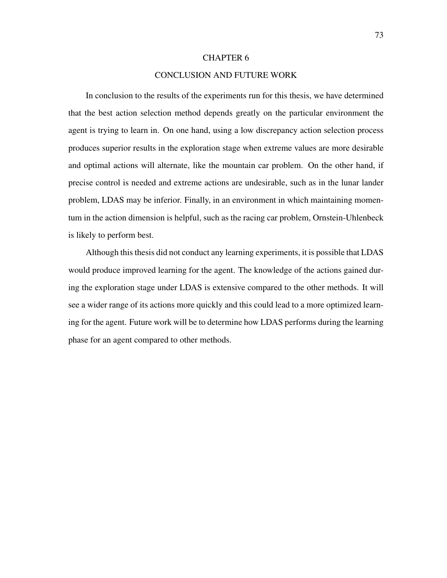## CHAPTER 6

## CONCLUSION AND FUTURE WORK

In conclusion to the results of the experiments run for this thesis, we have determined that the best action selection method depends greatly on the particular environment the agent is trying to learn in. On one hand, using a low discrepancy action selection process produces superior results in the exploration stage when extreme values are more desirable and optimal actions will alternate, like the mountain car problem. On the other hand, if precise control is needed and extreme actions are undesirable, such as in the lunar lander problem, LDAS may be inferior. Finally, in an environment in which maintaining momentum in the action dimension is helpful, such as the racing car problem, Ornstein-Uhlenbeck is likely to perform best.

Although this thesis did not conduct any learning experiments, it is possible that LDAS would produce improved learning for the agent. The knowledge of the actions gained during the exploration stage under LDAS is extensive compared to the other methods. It will see a wider range of its actions more quickly and this could lead to a more optimized learning for the agent. Future work will be to determine how LDAS performs during the learning phase for an agent compared to other methods.